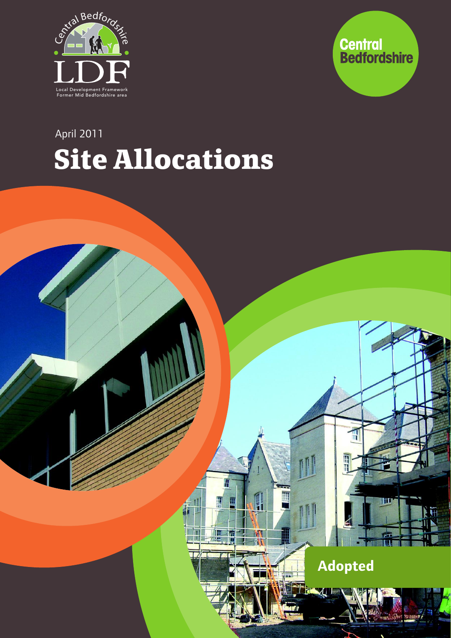



# **Site Allocations** April 2011

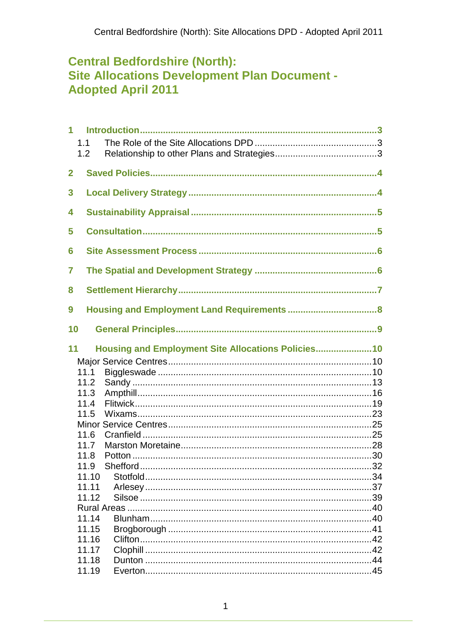# **Central Bedfordshire (North): Site Allocations Development Plan Document -Adopted April 2011**

| 1            | 1.1<br>1.2     |                                                     |  |
|--------------|----------------|-----------------------------------------------------|--|
| $\mathbf{2}$ |                |                                                     |  |
| 3            |                |                                                     |  |
| 4            |                |                                                     |  |
| 5            |                |                                                     |  |
| 6            |                |                                                     |  |
| 7            |                |                                                     |  |
| 8            |                |                                                     |  |
| 9            |                |                                                     |  |
| 10           |                |                                                     |  |
| 11           |                | Housing and Employment Site Allocations Policies 10 |  |
|              |                |                                                     |  |
|              | 11.1           |                                                     |  |
|              | 11.2           |                                                     |  |
|              | 11.3           |                                                     |  |
|              | 11.4<br>11.5   |                                                     |  |
|              |                |                                                     |  |
|              | 11.6           |                                                     |  |
|              | 11.7           |                                                     |  |
|              | 11.8           |                                                     |  |
|              | 11.9           |                                                     |  |
|              | 11.10          |                                                     |  |
|              | 11.11          |                                                     |  |
|              | 11.12          |                                                     |  |
|              |                |                                                     |  |
|              | 11.14          |                                                     |  |
|              | 11.15          |                                                     |  |
|              | 11.16          |                                                     |  |
|              | 11.17<br>11.18 |                                                     |  |
|              |                |                                                     |  |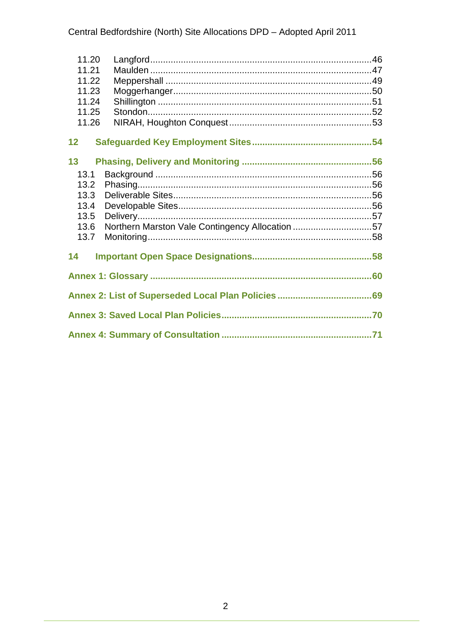| 11.20 |                                                 |  |
|-------|-------------------------------------------------|--|
| 11.21 |                                                 |  |
| 11.22 |                                                 |  |
| 11.23 |                                                 |  |
| 11.24 |                                                 |  |
| 11.25 |                                                 |  |
| 11.26 |                                                 |  |
|       |                                                 |  |
| 12    |                                                 |  |
|       |                                                 |  |
| 13    |                                                 |  |
| 13.1  |                                                 |  |
| 13.2  |                                                 |  |
| 13.3  |                                                 |  |
| 13.4  |                                                 |  |
| 13.5  |                                                 |  |
| 13.6  | Northern Marston Vale Contingency Allocation 57 |  |
| 13.7  |                                                 |  |
|       |                                                 |  |
| 14    |                                                 |  |
|       |                                                 |  |
|       |                                                 |  |
|       |                                                 |  |
|       |                                                 |  |
|       |                                                 |  |
|       |                                                 |  |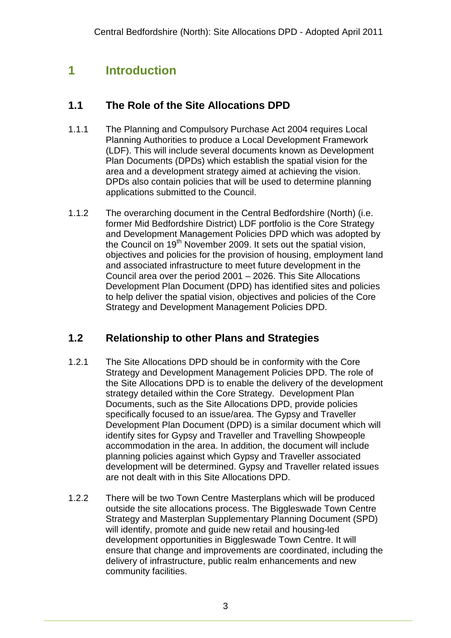# **1 Introduction**

## **1.1 The Role of the Site Allocations DPD**

- 1.1.1 The Planning and Compulsory Purchase Act 2004 requires Local Planning Authorities to produce a Local Development Framework (LDF). This will include several documents known as Development Plan Documents (DPDs) which establish the spatial vision for the area and a development strategy aimed at achieving the vision. DPDs also contain policies that will be used to determine planning applications submitted to the Council.
- 1.1.2 The overarching document in the Central Bedfordshire (North) (i.e. former Mid Bedfordshire District) LDF portfolio is the Core Strategy and Development Management Policies DPD which was adopted by the Council on 19<sup>th</sup> November 2009. It sets out the spatial vision, objectives and policies for the provision of housing, employment land and associated infrastructure to meet future development in the Council area over the period 2001 – 2026. This Site Allocations Development Plan Document (DPD) has identified sites and policies to help deliver the spatial vision, objectives and policies of the Core Strategy and Development Management Policies DPD.

# **1.2 Relationship to other Plans and Strategies**

- 1.2.1 The Site Allocations DPD should be in conformity with the Core Strategy and Development Management Policies DPD. The role of the Site Allocations DPD is to enable the delivery of the development strategy detailed within the Core Strategy. Development Plan Documents, such as the Site Allocations DPD, provide policies specifically focused to an issue/area. The Gypsy and Traveller Development Plan Document (DPD) is a similar document which will identify sites for Gypsy and Traveller and Travelling Showpeople accommodation in the area. In addition, the document will include planning policies against which Gypsy and Traveller associated development will be determined. Gypsy and Traveller related issues are not dealt with in this Site Allocations DPD.
- 1.2.2 There will be two Town Centre Masterplans which will be produced outside the site allocations process. The Biggleswade Town Centre Strategy and Masterplan Supplementary Planning Document (SPD) will identify, promote and guide new retail and housing-led development opportunities in Biggleswade Town Centre. It will ensure that change and improvements are coordinated, including the delivery of infrastructure, public realm enhancements and new community facilities.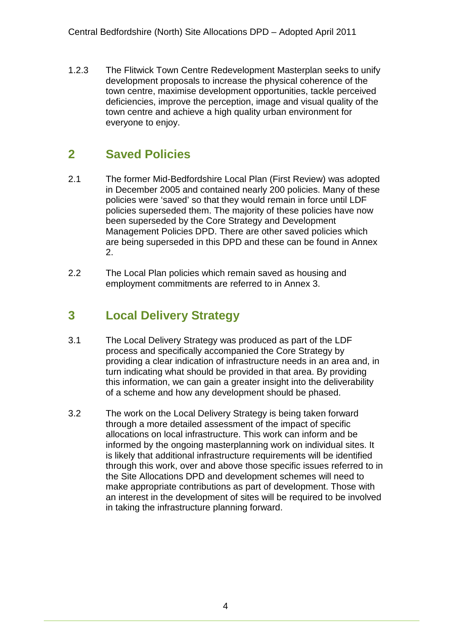1.2.3 The Flitwick Town Centre Redevelopment Masterplan seeks to unify development proposals to increase the physical coherence of the town centre, maximise development opportunities, tackle perceived deficiencies, improve the perception, image and visual quality of the town centre and achieve a high quality urban environment for everyone to enjoy.

# **2 Saved Policies**

- 2.1 The former Mid-Bedfordshire Local Plan (First Review) was adopted in December 2005 and contained nearly 200 policies. Many of these policies were 'saved' so that they would remain in force until LDF policies superseded them. The majority of these policies have now been superseded by the Core Strategy and Development Management Policies DPD. There are other saved policies which are being superseded in this DPD and these can be found in Annex 2.
- 2.2 The Local Plan policies which remain saved as housing and employment commitments are referred to in Annex 3.

# **3 Local Delivery Strategy**

- 3.1 The Local Delivery Strategy was produced as part of the LDF process and specifically accompanied the Core Strategy by providing a clear indication of infrastructure needs in an area and, in turn indicating what should be provided in that area. By providing this information, we can gain a greater insight into the deliverability of a scheme and how any development should be phased.
- 3.2 The work on the Local Delivery Strategy is being taken forward through a more detailed assessment of the impact of specific allocations on local infrastructure. This work can inform and be informed by the ongoing masterplanning work on individual sites. It is likely that additional infrastructure requirements will be identified through this work, over and above those specific issues referred to in the Site Allocations DPD and development schemes will need to make appropriate contributions as part of development. Those with an interest in the development of sites will be required to be involved in taking the infrastructure planning forward.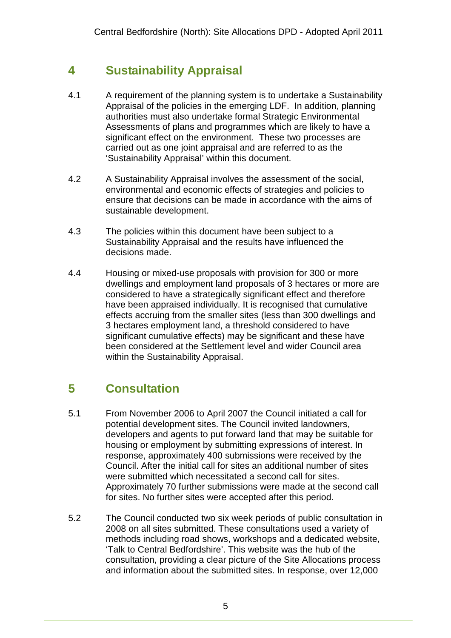# **4 Sustainability Appraisal**

- 4.1 A requirement of the planning system is to undertake a Sustainability Appraisal of the policies in the emerging LDF. In addition, planning authorities must also undertake formal Strategic Environmental Assessments of plans and programmes which are likely to have a significant effect on the environment. These two processes are carried out as one joint appraisal and are referred to as the 'Sustainability Appraisal' within this document.
- 4.2 A Sustainability Appraisal involves the assessment of the social, environmental and economic effects of strategies and policies to ensure that decisions can be made in accordance with the aims of sustainable development.
- 4.3 The policies within this document have been subject to a Sustainability Appraisal and the results have influenced the decisions made.
- 4.4 Housing or mixed-use proposals with provision for 300 or more dwellings and employment land proposals of 3 hectares or more are considered to have a strategically significant effect and therefore have been appraised individually. It is recognised that cumulative effects accruing from the smaller sites (less than 300 dwellings and 3 hectares employment land, a threshold considered to have significant cumulative effects) may be significant and these have been considered at the Settlement level and wider Council area within the Sustainability Appraisal.

# **5 Consultation**

- 5.1 From November 2006 to April 2007 the Council initiated a call for potential development sites. The Council invited landowners, developers and agents to put forward land that may be suitable for housing or employment by submitting expressions of interest. In response, approximately 400 submissions were received by the Council. After the initial call for sites an additional number of sites were submitted which necessitated a second call for sites. Approximately 70 further submissions were made at the second call for sites. No further sites were accepted after this period.
- 5.2 The Council conducted two six week periods of public consultation in 2008 on all sites submitted. These consultations used a variety of methods including road shows, workshops and a dedicated website, 'Talk to Central Bedfordshire'. This website was the hub of the consultation, providing a clear picture of the Site Allocations process and information about the submitted sites. In response, over 12,000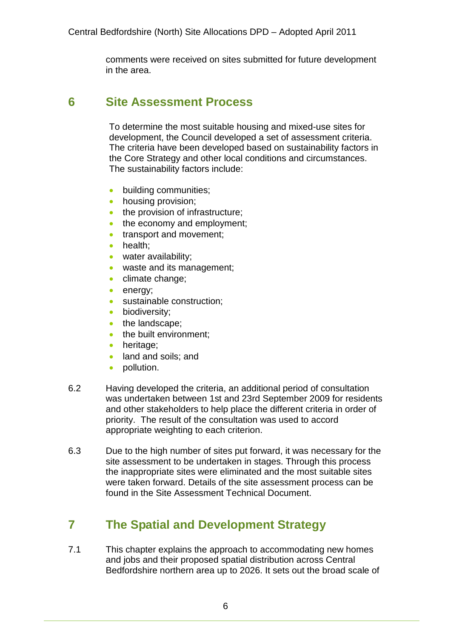comments were received on sites submitted for future development in the area.

# **6 Site Assessment Process**

To determine the most suitable housing and mixed-use sites for development, the Council developed a set of assessment criteria. The criteria have been developed based on sustainability factors in the Core Strategy and other local conditions and circumstances. The sustainability factors include:

- **•** building communities:
- housing provision;
- the provision of infrastructure:
- the economy and employment;
- **•** transport and movement:
- health:
- water availability;
- waste and its management;
- climate change;
- energy;
- sustainable construction;
- biodiversity;
- the landscape;
- the built environment;
- heritage;
- land and soils; and
- pollution.
- 6.2 Having developed the criteria, an additional period of consultation was undertaken between 1st and 23rd September 2009 for residents and other stakeholders to help place the different criteria in order of priority. The result of the consultation was used to accord appropriate weighting to each criterion.
- 6.3 Due to the high number of sites put forward, it was necessary for the site assessment to be undertaken in stages. Through this process the inappropriate sites were eliminated and the most suitable sites were taken forward. Details of the site assessment process can be found in the Site Assessment Technical Document.

# **7 The Spatial and Development Strategy**

7.1 This chapter explains the approach to accommodating new homes and jobs and their proposed spatial distribution across Central Bedfordshire northern area up to 2026. It sets out the broad scale of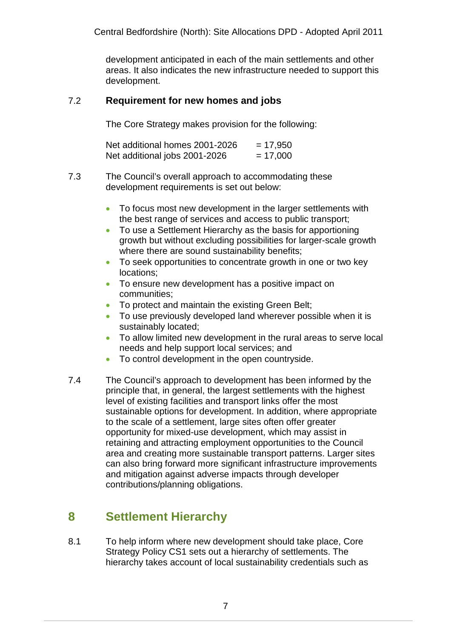development anticipated in each of the main settlements and other areas. It also indicates the new infrastructure needed to support this development.

#### 7.2 **Requirement for new homes and jobs**

The Core Strategy makes provision for the following:

| Net additional homes 2001-2026 | $= 17,950$ |
|--------------------------------|------------|
| Net additional jobs 2001-2026  | $= 17,000$ |

- 7.3 The Council's overall approach to accommodating these development requirements is set out below:
	- To focus most new development in the larger settlements with the best range of services and access to public transport;
	- To use a Settlement Hierarchy as the basis for apportioning growth but without excluding possibilities for larger-scale growth where there are sound sustainability benefits;
	- To seek opportunities to concentrate growth in one or two key locations;
	- To ensure new development has a positive impact on communities;
	- To protect and maintain the existing Green Belt;
	- To use previously developed land wherever possible when it is sustainably located;
	- To allow limited new development in the rural areas to serve local needs and help support local services; and
	- To control development in the open countryside.
- 7.4 The Council's approach to development has been informed by the principle that, in general, the largest settlements with the highest level of existing facilities and transport links offer the most sustainable options for development. In addition, where appropriate to the scale of a settlement, large sites often offer greater opportunity for mixed-use development, which may assist in retaining and attracting employment opportunities to the Council area and creating more sustainable transport patterns. Larger sites can also bring forward more significant infrastructure improvements and mitigation against adverse impacts through developer contributions/planning obligations.

# **8 Settlement Hierarchy**

8.1 To help inform where new development should take place, Core Strategy Policy CS1 sets out a hierarchy of settlements. The hierarchy takes account of local sustainability credentials such as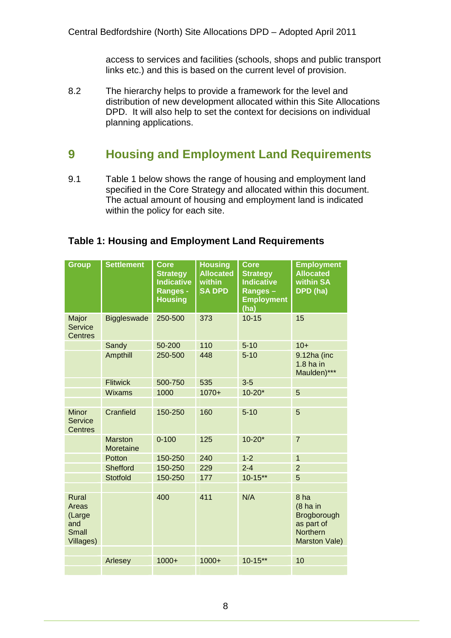access to services and facilities (schools, shops and public transport links etc.) and this is based on the current level of provision.

8.2 The hierarchy helps to provide a framework for the level and distribution of new development allocated within this Site Allocations DPD. It will also help to set the context for decisions on individual planning applications.

# **9 Housing and Employment Land Requirements**

9.1 Table 1 below shows the range of housing and employment land specified in the Core Strategy and allocated within this document. The actual amount of housing and employment land is indicated within the policy for each site.

#### **Table 1: Housing and Employment Land Requirements**

| <b>Settlement</b><br><b>Group</b>                               | <b>Core</b><br><b>Strategy</b><br><b>Indicative</b><br><b>Ranges -</b><br><b>Housing</b> | <b>Housing</b><br><b>Allocated</b><br>within<br><b>SA DPD</b> | <b>Core</b><br><b>Strategy</b><br><b>Indicative</b><br>Ranges-<br><b>Employment</b><br>(ha) | <b>Employment</b><br><b>Allocated</b><br>within SA<br>DPD (ha)                       |
|-----------------------------------------------------------------|------------------------------------------------------------------------------------------|---------------------------------------------------------------|---------------------------------------------------------------------------------------------|--------------------------------------------------------------------------------------|
| Major<br><b>Biggleswade</b><br><b>Service</b><br><b>Centres</b> | 250-500                                                                                  | 373                                                           | $10 - 15$                                                                                   | 15                                                                                   |
| Sandy                                                           | 50-200                                                                                   | 110                                                           | $5 - 10$                                                                                    | $10+$                                                                                |
| Ampthill                                                        | 250-500                                                                                  | 448                                                           | $5 - 10$                                                                                    | 9.12ha (inc<br>$1.8$ ha in<br>Maulden)***                                            |
| <b>Flitwick</b>                                                 | 500-750                                                                                  | 535                                                           | $3-5$                                                                                       |                                                                                      |
| <b>Wixams</b>                                                   | 1000                                                                                     | $1070+$                                                       | $10 - 20*$                                                                                  | 5                                                                                    |
|                                                                 |                                                                                          |                                                               |                                                                                             |                                                                                      |
| Cranfield<br><b>Minor</b><br>Service<br><b>Centres</b>          | 150-250                                                                                  | 160                                                           | $5 - 10$                                                                                    | 5                                                                                    |
| <b>Marston</b><br>Moretaine                                     | $0 - 100$                                                                                | 125                                                           | $10 - 20*$                                                                                  | $\overline{7}$                                                                       |
| Potton                                                          | 150-250                                                                                  | 240                                                           | $1 - 2$                                                                                     | $\mathbf{1}$                                                                         |
| <b>Shefford</b>                                                 | 150-250                                                                                  | 229                                                           | $2 - 4$                                                                                     | $\overline{2}$                                                                       |
| <b>Stotfold</b>                                                 | 150-250                                                                                  | 177                                                           | $10 - 15**$                                                                                 | 5                                                                                    |
|                                                                 |                                                                                          |                                                               |                                                                                             |                                                                                      |
| Rural<br>Areas<br>(Large<br>and<br><b>Small</b><br>Villages)    | 400                                                                                      | 411                                                           | N/A                                                                                         | 8 ha<br>$(8)$ ha in<br>Brogborough<br>as part of<br><b>Northern</b><br>Marston Vale) |
|                                                                 |                                                                                          |                                                               |                                                                                             |                                                                                      |
| Arlesey                                                         | $1000+$                                                                                  | $1000+$                                                       | $10 - 15**$                                                                                 | 10                                                                                   |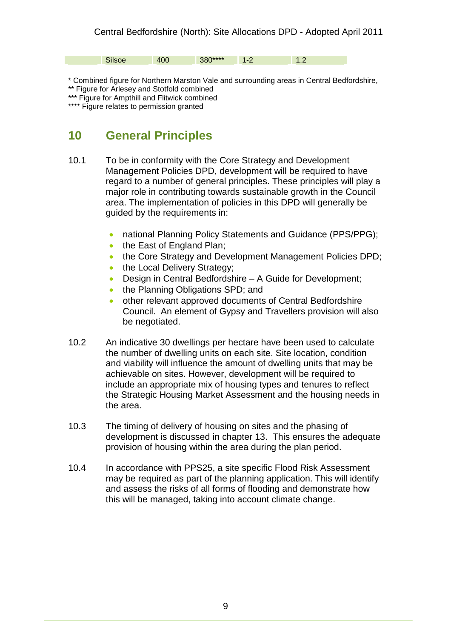Silsoe 400 380\*\*\*\* 1-2 1.2

\* Combined figure for Northern Marston Vale and surrounding areas in Central Bedfordshire,

\*\* Figure for Arlesey and Stotfold combined

\*\*\* Figure for Ampthill and Flitwick combined

\*\*\*\* Figure relates to permission granted

# **10 General Principles**

- 10.1 To be in conformity with the Core Strategy and Development Management Policies DPD, development will be required to have regard to a number of general principles. These principles will play a major role in contributing towards sustainable growth in the Council area. The implementation of policies in this DPD will generally be guided by the requirements in:
	- national Planning Policy Statements and Guidance (PPS/PPG);
	- the East of England Plan;
	- the Core Strategy and Development Management Policies DPD;
	- the Local Delivery Strategy;
	- Design in Central Bedfordshire A Guide for Development;
	- the Planning Obligations SPD; and
	- other relevant approved documents of Central Bedfordshire Council. An element of Gypsy and Travellers provision will also be negotiated.
- 10.2 An indicative 30 dwellings per hectare have been used to calculate the number of dwelling units on each site. Site location, condition and viability will influence the amount of dwelling units that may be achievable on sites. However, development will be required to include an appropriate mix of housing types and tenures to reflect the Strategic Housing Market Assessment and the housing needs in the area.
- 10.3 The timing of delivery of housing on sites and the phasing of development is discussed in chapter 13. This ensures the adequate provision of housing within the area during the plan period.
- 10.4 In accordance with PPS25, a site specific Flood Risk Assessment may be required as part of the planning application. This will identify and assess the risks of all forms of flooding and demonstrate how this will be managed, taking into account climate change.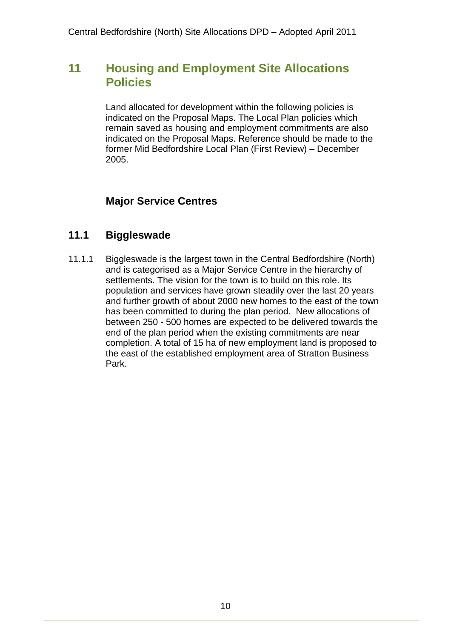# **11 Housing and Employment Site Allocations Policies**

Land allocated for development within the following policies is indicated on the Proposal Maps. The Local Plan policies which remain saved as housing and employment commitments are also indicated on the Proposal Maps. Reference should be made to the former Mid Bedfordshire Local Plan (First Review) – December 2005.

### **Major Service Centres**

### **11.1 Biggleswade**

11.1.1 Biggleswade is the largest town in the Central Bedfordshire (North) and is categorised as a Major Service Centre in the hierarchy of settlements. The vision for the town is to build on this role. Its population and services have grown steadily over the last 20 years and further growth of about 2000 new homes to the east of the town has been committed to during the plan period. New allocations of between 250 - 500 homes are expected to be delivered towards the end of the plan period when the existing commitments are near completion. A total of 15 ha of new employment land is proposed to the east of the established employment area of Stratton Business Park.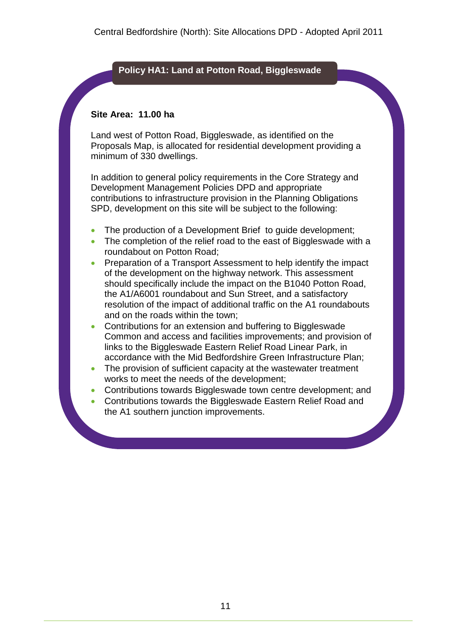#### **Policy HA1: Land at Potton Road, Biggleswade**

#### **Site Area: 11.00 ha**

Land west of Potton Road, Biggleswade, as identified on the Proposals Map, is allocated for residential development providing a minimum of 330 dwellings.

- The production of a Development Brief to quide development;
- The completion of the relief road to the east of Biggleswade with a roundabout on Potton Road;
- Preparation of a Transport Assessment to help identify the impact of the development on the highway network. This assessment should specifically include the impact on the B1040 Potton Road, the A1/A6001 roundabout and Sun Street, and a satisfactory resolution of the impact of additional traffic on the A1 roundabouts and on the roads within the town;
- Contributions for an extension and buffering to Biggleswade Common and access and facilities improvements; and provision of links to the Biggleswade Eastern Relief Road Linear Park, in accordance with the Mid Bedfordshire Green Infrastructure Plan;
- The provision of sufficient capacity at the wastewater treatment works to meet the needs of the development;
- Contributions towards Biggleswade town centre development; and
- Contributions towards the Biggleswade Eastern Relief Road and the A1 southern junction improvements.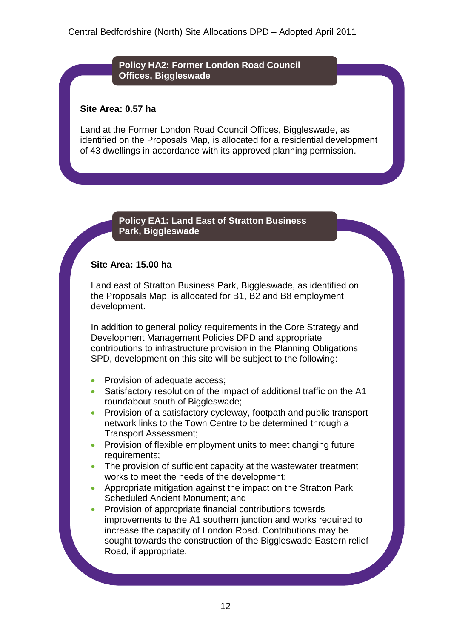**Policy HA2: Former London Road Council Offices, Biggleswade**

#### **Site Area: 0.57 ha**

Land at the Former London Road Council Offices, Biggleswade, as identified on the Proposals Map, is allocated for a residential development of 43 dwellings in accordance with its approved planning permission.

#### **Policy EA1: Land East of Stratton Business Park, Biggleswade**

#### **Site Area: 15.00 ha**

Land east of Stratton Business Park, Biggleswade, as identified on the Proposals Map, is allocated for B1, B2 and B8 employment development.

- Provision of adequate access;
- Satisfactory resolution of the impact of additional traffic on the A1 roundabout south of Biggleswade;
- Provision of a satisfactory cycleway, footpath and public transport network links to the Town Centre to be determined through a Transport Assessment;
- Provision of flexible employment units to meet changing future requirements;
- The provision of sufficient capacity at the wastewater treatment works to meet the needs of the development;
- Appropriate mitigation against the impact on the Stratton Park Scheduled Ancient Monument; and
- Provision of appropriate financial contributions towards improvements to the A1 southern junction and works required to increase the capacity of London Road. Contributions may be sought towards the construction of the Biggleswade Eastern relief Road, if appropriate.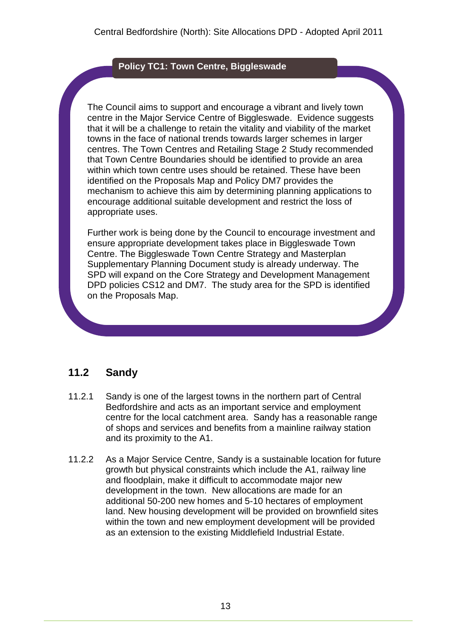#### **Policy TC1: Town Centre, Biggleswade**

The Council aims to support and encourage a vibrant and lively town centre in the Major Service Centre of Biggleswade. Evidence suggests that it will be a challenge to retain the vitality and viability of the market towns in the face of national trends towards larger schemes in larger centres. The Town Centres and Retailing Stage 2 Study recommended that Town Centre Boundaries should be identified to provide an area within which town centre uses should be retained. These have been identified on the Proposals Map and Policy DM7 provides the mechanism to achieve this aim by determining planning applications to encourage additional suitable development and restrict the loss of appropriate uses.

Further work is being done by the Council to encourage investment and ensure appropriate development takes place in Biggleswade Town Centre. The Biggleswade Town Centre Strategy and Masterplan Supplementary Planning Document study is already underway. The SPD will expand on the Core Strategy and Development Management DPD policies CS12 and DM7. The study area for the SPD is identified on the Proposals Map.

### **11.2 Sandy**

- 11.2.1 Sandy is one of the largest towns in the northern part of Central Bedfordshire and acts as an important service and employment centre for the local catchment area. Sandy has a reasonable range of shops and services and benefits from a mainline railway station and its proximity to the A1.
- 11.2.2 As a Major Service Centre, Sandy is a sustainable location for future growth but physical constraints which include the A1, railway line and floodplain, make it difficult to accommodate major new development in the town. New allocations are made for an additional 50-200 new homes and 5-10 hectares of employment land. New housing development will be provided on brownfield sites within the town and new employment development will be provided as an extension to the existing Middlefield Industrial Estate.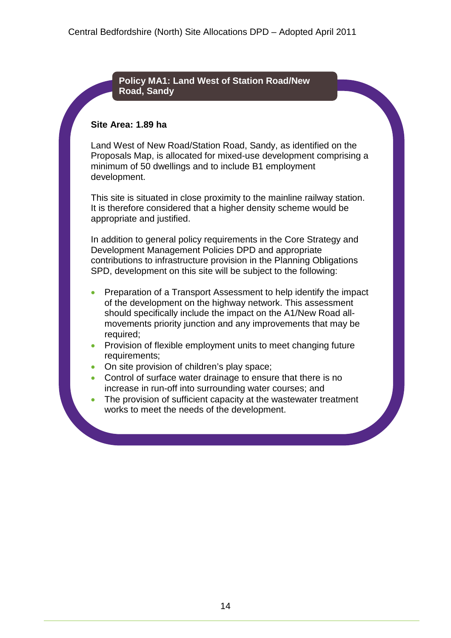#### **Policy MA1: Land West of Station Road/New Road, Sandy**

#### **Site Area: 1.89 ha**

Land West of New Road/Station Road, Sandy, as identified on the Proposals Map, is allocated for mixed-use development comprising a minimum of 50 dwellings and to include B1 employment development.

This site is situated in close proximity to the mainline railway station. It is therefore considered that a higher density scheme would be appropriate and justified.

- Preparation of a Transport Assessment to help identify the impact of the development on the highway network. This assessment should specifically include the impact on the A1/New Road allmovements priority junction and any improvements that may be required;
- Provision of flexible employment units to meet changing future requirements;
- On site provision of children's play space;
- Control of surface water drainage to ensure that there is no increase in run-off into surrounding water courses; and
- The provision of sufficient capacity at the wastewater treatment works to meet the needs of the development.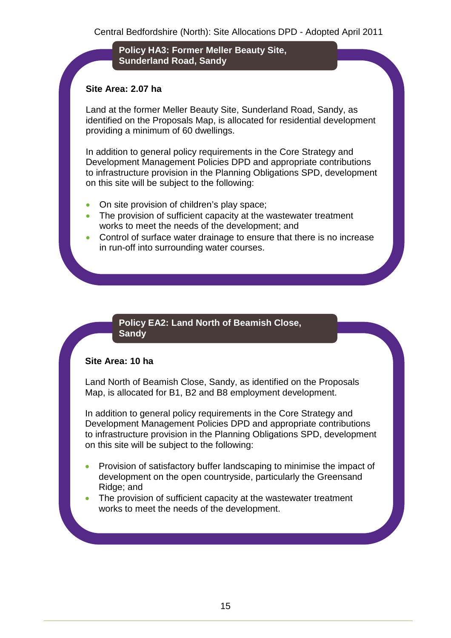**Policy HA3: Former Meller Beauty Site, Sunderland Road, Sandy**

#### **Site Area: 2.07 ha**

Land at the former Meller Beauty Site, Sunderland Road, Sandy, as identified on the Proposals Map, is allocated for residential development providing a minimum of 60 dwellings.

In addition to general policy requirements in the Core Strategy and Development Management Policies DPD and appropriate contributions to infrastructure provision in the Planning Obligations SPD, development on this site will be subject to the following:

- On site provision of children's play space;
- The provision of sufficient capacity at the wastewater treatment works to meet the needs of the development; and
- Control of surface water drainage to ensure that there is no increase in run-off into surrounding water courses.

#### **Policy EA2: Land North of Beamish Close, Sandy**

#### **Site Area: 10 ha**

Land North of Beamish Close, Sandy, as identified on the Proposals Map, is allocated for B1, B2 and B8 employment development.

- Provision of satisfactory buffer landscaping to minimise the impact of development on the open countryside, particularly the Greensand Ridge; and
- The provision of sufficient capacity at the wastewater treatment works to meet the needs of the development.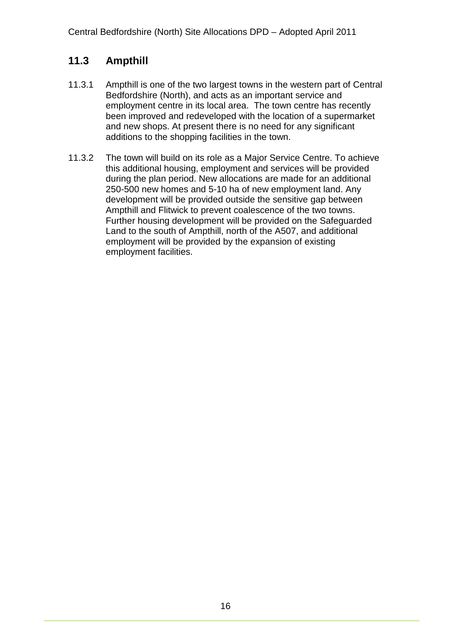# **11.3 Ampthill**

- 11.3.1 Ampthill is one of the two largest towns in the western part of Central Bedfordshire (North), and acts as an important service and employment centre in its local area. The town centre has recently been improved and redeveloped with the location of a supermarket and new shops. At present there is no need for any significant additions to the shopping facilities in the town.
- 11.3.2 The town will build on its role as a Major Service Centre. To achieve this additional housing, employment and services will be provided during the plan period. New allocations are made for an additional 250-500 new homes and 5-10 ha of new employment land. Any development will be provided outside the sensitive gap between Ampthill and Flitwick to prevent coalescence of the two towns. Further housing development will be provided on the Safeguarded Land to the south of Ampthill, north of the A507, and additional employment will be provided by the expansion of existing employment facilities.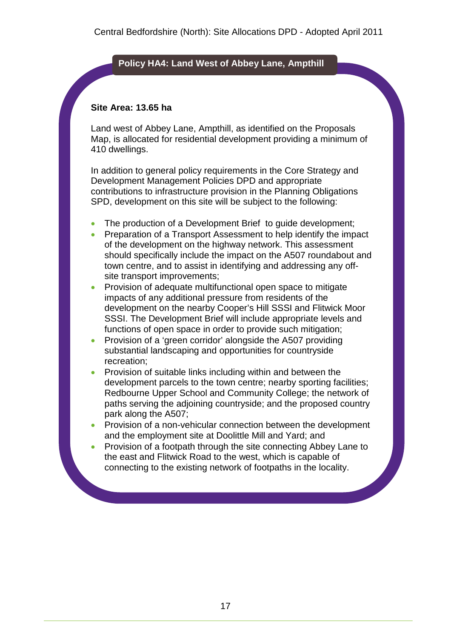#### **Policy HA4: Land West of Abbey Lane, Ampthill**

#### **Site Area: 13.65 ha**

Land west of Abbey Lane, Ampthill, as identified on the Proposals Map, is allocated for residential development providing a minimum of 410 dwellings.

- The production of a Development Brief to guide development;
- Preparation of a Transport Assessment to help identify the impact of the development on the highway network. This assessment should specifically include the impact on the A507 roundabout and town centre, and to assist in identifying and addressing any offsite transport improvements;
- Provision of adequate multifunctional open space to mitigate impacts of any additional pressure from residents of the development on the nearby Cooper's Hill SSSI and Flitwick Moor SSSI. The Development Brief will include appropriate levels and functions of open space in order to provide such mitigation;
- Provision of a 'green corridor' alongside the A507 providing substantial landscaping and opportunities for countryside recreation;
- Provision of suitable links including within and between the development parcels to the town centre; nearby sporting facilities; Redbourne Upper School and Community College; the network of paths serving the adjoining countryside; and the proposed country park along the A507;
- Provision of a non-vehicular connection between the development and the employment site at Doolittle Mill and Yard; and
- Provision of a footpath through the site connecting Abbey Lane to the east and Flitwick Road to the west, which is capable of connecting to the existing network of footpaths in the locality.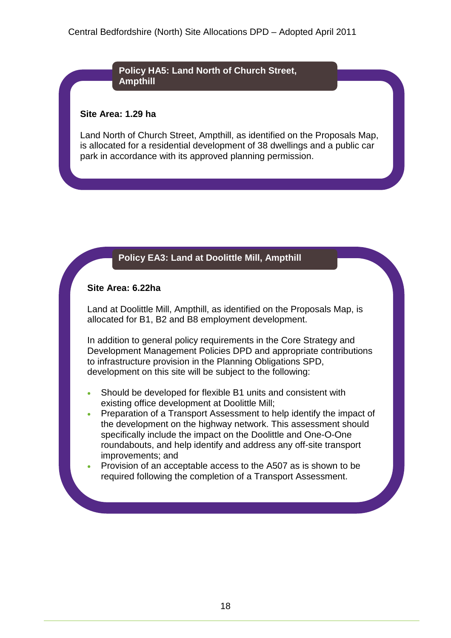#### **Policy HA5: Land North of Church Street, Ampthill**

#### **Site Area: 1.29 ha**

Land North of Church Street, Ampthill, as identified on the Proposals Map, is allocated for a residential development of 38 dwellings and a public car park in accordance with its approved planning permission.

### **Policy EA3: Land at Doolittle Mill, Ampthill**

#### **Site Area: 6.22ha**

Land at Doolittle Mill, Ampthill, as identified on the Proposals Map, is allocated for B1, B2 and B8 employment development.

- Should be developed for flexible B1 units and consistent with existing office development at Doolittle Mill;
- Preparation of a Transport Assessment to help identify the impact of the development on the highway network. This assessment should specifically include the impact on the Doolittle and One-O-One roundabouts, and help identify and address any off-site transport improvements; and
- Provision of an acceptable access to the A507 as is shown to be required following the completion of a Transport Assessment.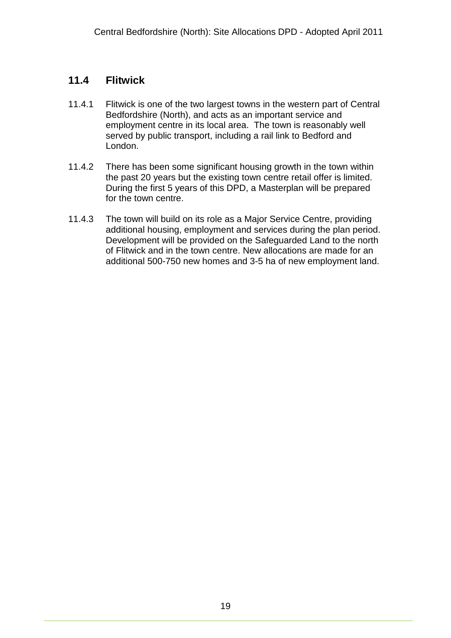### **11.4 Flitwick**

- 11.4.1 Flitwick is one of the two largest towns in the western part of Central Bedfordshire (North), and acts as an important service and employment centre in its local area. The town is reasonably well served by public transport, including a rail link to Bedford and London.
- 11.4.2 There has been some significant housing growth in the town within the past 20 years but the existing town centre retail offer is limited. During the first 5 years of this DPD, a Masterplan will be prepared for the town centre.
- 11.4.3 The town will build on its role as a Major Service Centre, providing additional housing, employment and services during the plan period. Development will be provided on the Safeguarded Land to the north of Flitwick and in the town centre. New allocations are made for an additional 500-750 new homes and 3-5 ha of new employment land.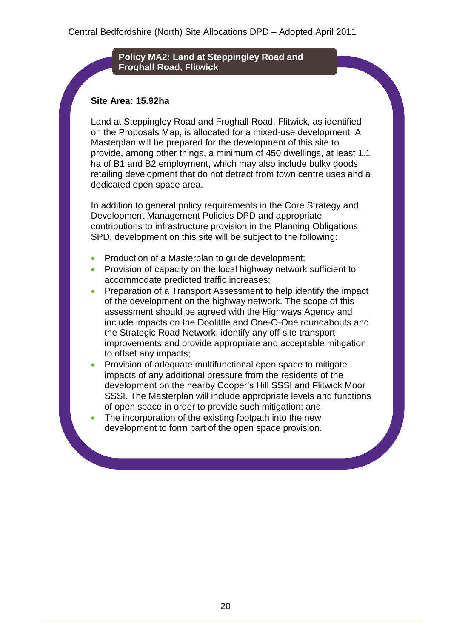#### **Policy MA2: Land at Steppingley Road and Froghall Road, Flitwick**

#### **Site Area: 15.92ha**

Land at Steppingley Road and Froghall Road, Flitwick, as identified on the Proposals Map, is allocated for a mixed-use development. A Masterplan will be prepared for the development of this site to provide, among other things, a minimum of 450 dwellings, at least 1.1 ha of B1 and B2 employment, which may also include bulky goods retailing development that do not detract from town centre uses and a dedicated open space area.

- Production of a Masterplan to guide development;
- Provision of capacity on the local highway network sufficient to accommodate predicted traffic increases;
- Preparation of a Transport Assessment to help identify the impact of the development on the highway network. The scope of this assessment should be agreed with the Highways Agency and include impacts on the Doolittle and One-O-One roundabouts and the Strategic Road Network, identify any off-site transport improvements and provide appropriate and acceptable mitigation to offset any impacts;
- Provision of adequate multifunctional open space to mitigate impacts of any additional pressure from the residents of the development on the nearby Cooper's Hill SSSI and Flitwick Moor SSSI. The Masterplan will include appropriate levels and functions of open space in order to provide such mitigation; and
- The incorporation of the existing footpath into the new development to form part of the open space provision.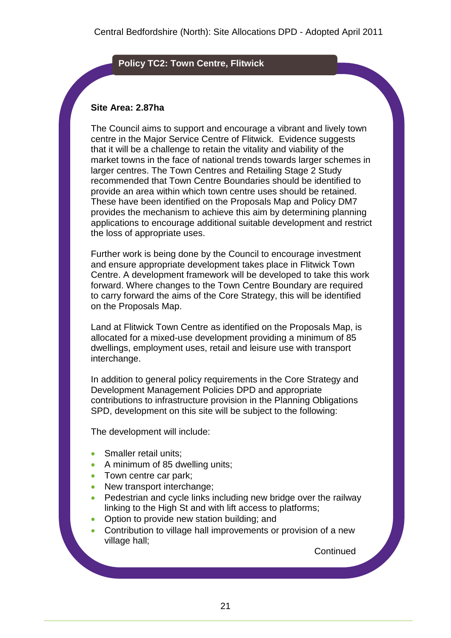#### **Policy TC2: Town Centre, Flitwick**

#### **Site Area: 2.87ha**

The Council aims to support and encourage a vibrant and lively town centre in the Major Service Centre of Flitwick. Evidence suggests that it will be a challenge to retain the vitality and viability of the market towns in the face of national trends towards larger schemes in larger centres. The Town Centres and Retailing Stage 2 Study recommended that Town Centre Boundaries should be identified to provide an area within which town centre uses should be retained. These have been identified on the Proposals Map and Policy DM7 provides the mechanism to achieve this aim by determining planning applications to encourage additional suitable development and restrict the loss of appropriate uses.

Further work is being done by the Council to encourage investment and ensure appropriate development takes place in Flitwick Town Centre. A development framework will be developed to take this work forward. Where changes to the Town Centre Boundary are required to carry forward the aims of the Core Strategy, this will be identified on the Proposals Map.

Land at Flitwick Town Centre as identified on the Proposals Map, is allocated for a mixed-use development providing a minimum of 85 dwellings, employment uses, retail and leisure use with transport interchange.

In addition to general policy requirements in the Core Strategy and Development Management Policies DPD and appropriate contributions to infrastructure provision in the Planning Obligations SPD, development on this site will be subject to the following:

The development will include:

- Smaller retail units:
- A minimum of 85 dwelling units;
- Town centre car park;
- New transport interchange:
- Pedestrian and cycle links including new bridge over the railway linking to the High St and with lift access to platforms;
- Option to provide new station building: and
- Contribution to village hall improvements or provision of a new village hall;

**Continued**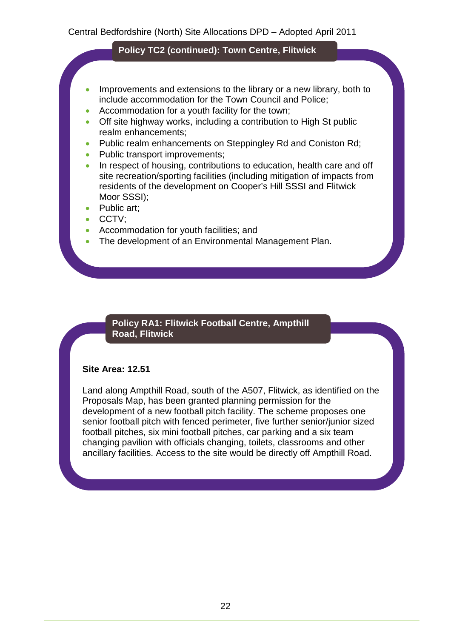#### **Policy TC2 (continued): Town Centre, Flitwick**

- Improvements and extensions to the library or a new library, both to include accommodation for the Town Council and Police;
- Accommodation for a youth facility for the town;
- Off site highway works, including a contribution to High St public realm enhancements;
- Public realm enhancements on Steppingley Rd and Coniston Rd;
- Public transport improvements;
- In respect of housing, contributions to education, health care and off site recreation/sporting facilities (including mitigation of impacts from residents of the development on Cooper's Hill SSSI and Flitwick Moor SSSI);
- Public art;
- CCTV;
- Accommodation for youth facilities; and
- The development of an Environmental Management Plan.

#### **Policy RA1: Flitwick Football Centre, Ampthill Road, Flitwick**

#### **Site Area: 12.51**

Land along Ampthill Road, south of the A507, Flitwick, as identified on the Proposals Map, has been granted planning permission for the development of a new football pitch facility. The scheme proposes one senior football pitch with fenced perimeter, five further senior/junior sized football pitches, six mini football pitches, car parking and a six team changing pavilion with officials changing, toilets, classrooms and other ancillary facilities. Access to the site would be directly off Ampthill Road.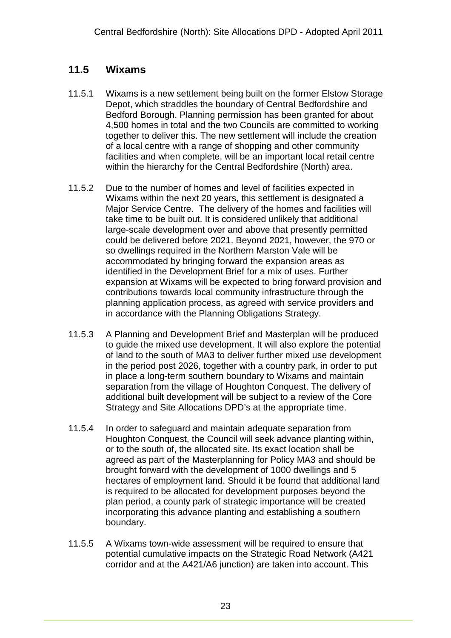### **11.5 Wixams**

- 11.5.1 Wixams is a new settlement being built on the former Elstow Storage Depot, which straddles the boundary of Central Bedfordshire and Bedford Borough. Planning permission has been granted for about 4,500 homes in total and the two Councils are committed to working together to deliver this. The new settlement will include the creation of a local centre with a range of shopping and other community facilities and when complete, will be an important local retail centre within the hierarchy for the Central Bedfordshire (North) area.
- 11.5.2 Due to the number of homes and level of facilities expected in Wixams within the next 20 years, this settlement is designated a Major Service Centre. The delivery of the homes and facilities will take time to be built out. It is considered unlikely that additional large-scale development over and above that presently permitted could be delivered before 2021. Beyond 2021, however, the 970 or so dwellings required in the Northern Marston Vale will be accommodated by bringing forward the expansion areas as identified in the Development Brief for a mix of uses. Further expansion at Wixams will be expected to bring forward provision and contributions towards local community infrastructure through the planning application process, as agreed with service providers and in accordance with the Planning Obligations Strategy.
- 11.5.3 A Planning and Development Brief and Masterplan will be produced to guide the mixed use development. It will also explore the potential of land to the south of MA3 to deliver further mixed use development in the period post 2026, together with a country park, in order to put in place a long-term southern boundary to Wixams and maintain separation from the village of Houghton Conquest. The delivery of additional built development will be subject to a review of the Core Strategy and Site Allocations DPD's at the appropriate time.
- 11.5.4 In order to safeguard and maintain adequate separation from Houghton Conquest, the Council will seek advance planting within, or to the south of, the allocated site. Its exact location shall be agreed as part of the Masterplanning for Policy MA3 and should be brought forward with the development of 1000 dwellings and 5 hectares of employment land. Should it be found that additional land is required to be allocated for development purposes beyond the plan period, a county park of strategic importance will be created incorporating this advance planting and establishing a southern boundary.
- 11.5.5 A Wixams town-wide assessment will be required to ensure that potential cumulative impacts on the Strategic Road Network (A421 corridor and at the A421/A6 junction) are taken into account. This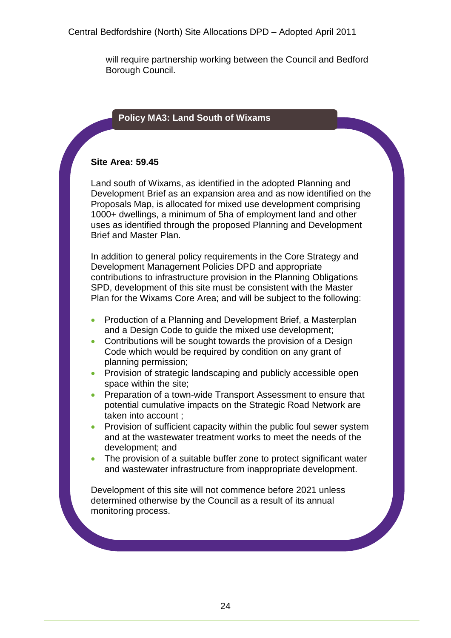will require partnership working between the Council and Bedford Borough Council.

### **Policy MA3: Land South of Wixams**

#### **Site Area: 59.45**

Land south of Wixams, as identified in the adopted Planning and Development Brief as an expansion area and as now identified on the Proposals Map, is allocated for mixed use development comprising 1000+ dwellings, a minimum of 5ha of employment land and other uses as identified through the proposed Planning and Development Brief and Master Plan.

In addition to general policy requirements in the Core Strategy and Development Management Policies DPD and appropriate contributions to infrastructure provision in the Planning Obligations SPD, development of this site must be consistent with the Master Plan for the Wixams Core Area; and will be subject to the following:

- Production of a Planning and Development Brief, a Masterplan and a Design Code to guide the mixed use development;
- Contributions will be sought towards the provision of a Design Code which would be required by condition on any grant of planning permission;
- Provision of strategic landscaping and publicly accessible open space within the site;
- **Preparation of a town-wide Transport Assessment to ensure that** potential cumulative impacts on the Strategic Road Network are taken into account ;
- Provision of sufficient capacity within the public foul sewer system and at the wastewater treatment works to meet the needs of the development; and
- The provision of a suitable buffer zone to protect significant water and wastewater infrastructure from inappropriate development.

Development of this site will not commence before 2021 unless determined otherwise by the Council as a result of its annual monitoring process.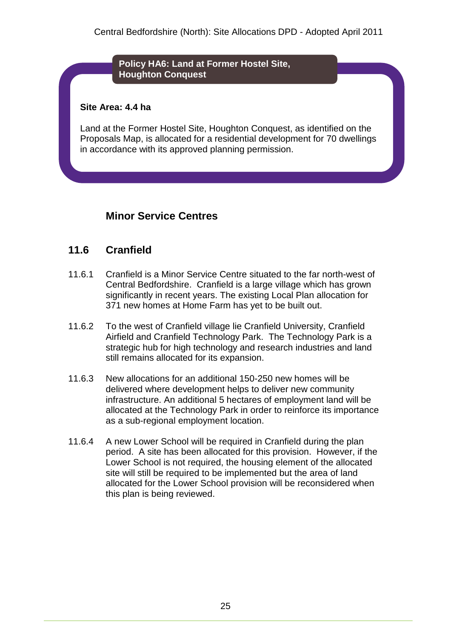#### **Policy HA6: Land at Former Hostel Site, Houghton Conquest**

#### **Site Area: 4.4 ha**

Land at the Former Hostel Site, Houghton Conquest, as identified on the Proposals Map, is allocated for a residential development for 70 dwellings in accordance with its approved planning permission.

### **Minor Service Centres**

### **11.6 Cranfield**

- 11.6.1 Cranfield is a Minor Service Centre situated to the far north-west of Central Bedfordshire. Cranfield is a large village which has grown significantly in recent years. The existing Local Plan allocation for 371 new homes at Home Farm has yet to be built out.
- 11.6.2 To the west of Cranfield village lie Cranfield University, Cranfield Airfield and Cranfield Technology Park. The Technology Park is a strategic hub for high technology and research industries and land still remains allocated for its expansion.
- 11.6.3 New allocations for an additional 150-250 new homes will be delivered where development helps to deliver new community infrastructure. An additional 5 hectares of employment land will be allocated at the Technology Park in order to reinforce its importance as a sub-regional employment location.
- 11.6.4 A new Lower School will be required in Cranfield during the plan period. A site has been allocated for this provision. However, if the Lower School is not required, the housing element of the allocated site will still be required to be implemented but the area of land allocated for the Lower School provision will be reconsidered when this plan is being reviewed.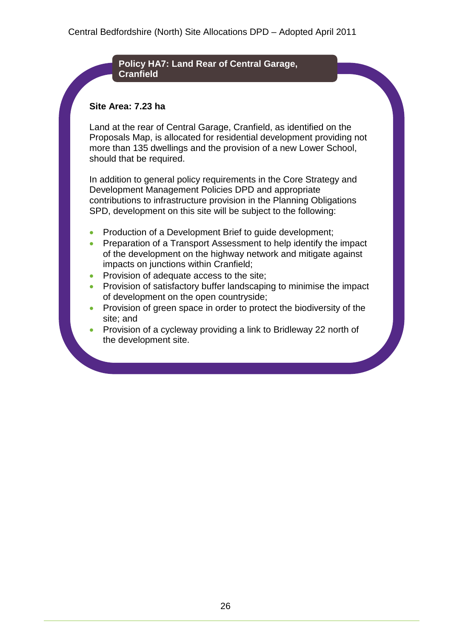#### **Policy HA7: Land Rear of Central Garage, Cranfield**

#### **Site Area: 7.23 ha**

Land at the rear of Central Garage, Cranfield, as identified on the Proposals Map, is allocated for residential development providing not more than 135 dwellings and the provision of a new Lower School, should that be required.

- Production of a Development Brief to guide development;
- Preparation of a Transport Assessment to help identify the impact of the development on the highway network and mitigate against impacts on junctions within Cranfield;
- Provision of adequate access to the site;
- Provision of satisfactory buffer landscaping to minimise the impact of development on the open countryside;
- Provision of green space in order to protect the biodiversity of the site; and
- Provision of a cycleway providing a link to Bridleway 22 north of the development site.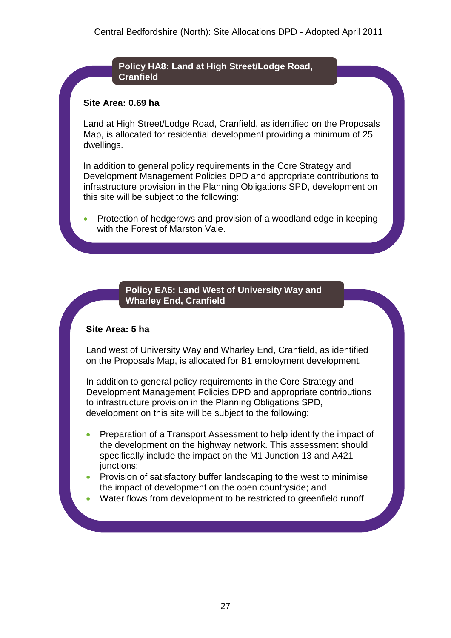#### **Policy HA8: Land at High Street/Lodge Road, Cranfield**

#### **Site Area: 0.69 ha**

Land at High Street/Lodge Road, Cranfield, as identified on the Proposals Map, is allocated for residential development providing a minimum of 25 dwellings.

In addition to general policy requirements in the Core Strategy and Development Management Policies DPD and appropriate contributions to infrastructure provision in the Planning Obligations SPD, development on this site will be subject to the following:

 Protection of hedgerows and provision of a woodland edge in keeping with the Forest of Marston Vale.

#### **Policy EA5: Land West of University Way and Wharley End, Cranfield**

#### **Site Area: 5 ha**

Land west of University Way and Wharley End, Cranfield, as identified on the Proposals Map, is allocated for B1 employment development.

- Preparation of a Transport Assessment to help identify the impact of the development on the highway network. This assessment should specifically include the impact on the M1 Junction 13 and A421 junctions;
- Provision of satisfactory buffer landscaping to the west to minimise the impact of development on the open countryside; and
- Water flows from development to be restricted to greenfield runoff.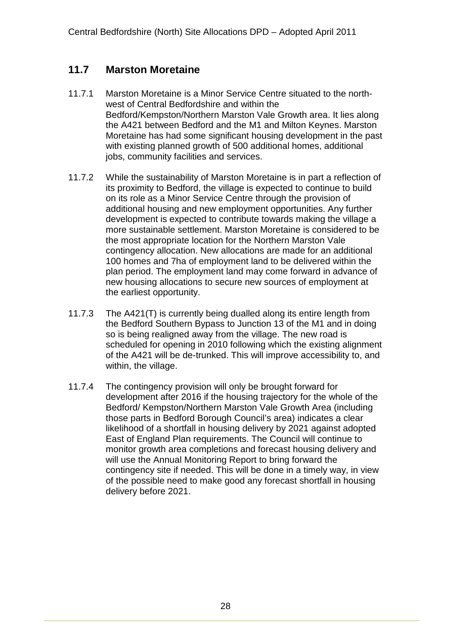### **11.7 Marston Moretaine**

- 11.7.1 Marston Moretaine is a Minor Service Centre situated to the northwest of Central Bedfordshire and within the Bedford/Kempston/Northern Marston Vale Growth area. It lies along the A421 between Bedford and the M1 and Milton Keynes. Marston Moretaine has had some significant housing development in the past with existing planned growth of 500 additional homes, additional jobs, community facilities and services.
- 11.7.2 While the sustainability of Marston Moretaine is in part a reflection of its proximity to Bedford, the village is expected to continue to build on its role as a Minor Service Centre through the provision of additional housing and new employment opportunities. Any further development is expected to contribute towards making the village a more sustainable settlement. Marston Moretaine is considered to be the most appropriate location for the Northern Marston Vale contingency allocation. New allocations are made for an additional 100 homes and 7ha of employment land to be delivered within the plan period. The employment land may come forward in advance of new housing allocations to secure new sources of employment at the earliest opportunity.
- 11.7.3 The A421(T) is currently being dualled along its entire length from the Bedford Southern Bypass to Junction 13 of the M1 and in doing so is being realigned away from the village. The new road is scheduled for opening in 2010 following which the existing alignment of the A421 will be de-trunked. This will improve accessibility to, and within, the village.
- 11.7.4 The contingency provision will only be brought forward for development after 2016 if the housing trajectory for the whole of the Bedford/ Kempston/Northern Marston Vale Growth Area (including those parts in Bedford Borough Council's area) indicates a clear likelihood of a shortfall in housing delivery by 2021 against adopted East of England Plan requirements. The Council will continue to monitor growth area completions and forecast housing delivery and will use the Annual Monitoring Report to bring forward the contingency site if needed. This will be done in a timely way, in view of the possible need to make good any forecast shortfall in housing delivery before 2021.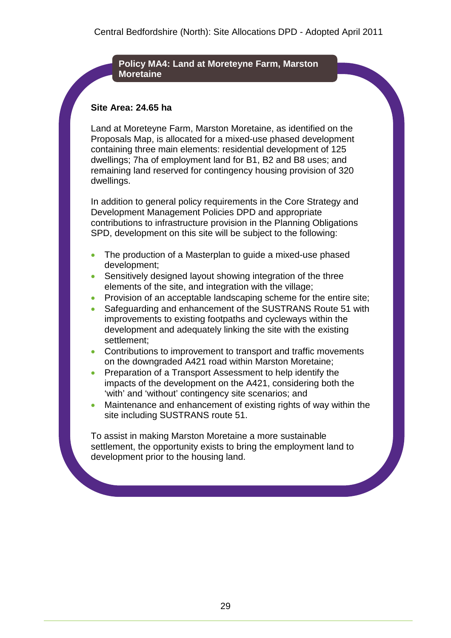#### **Policy MA4: Land at Moreteyne Farm, Marston Moretaine**

#### **Site Area: 24.65 ha**

Land at Moreteyne Farm, Marston Moretaine, as identified on the Proposals Map, is allocated for a mixed-use phased development containing three main elements: residential development of 125 dwellings; 7ha of employment land for B1, B2 and B8 uses; and remaining land reserved for contingency housing provision of 320 dwellings.

In addition to general policy requirements in the Core Strategy and Development Management Policies DPD and appropriate contributions to infrastructure provision in the Planning Obligations SPD, development on this site will be subject to the following:

- The production of a Masterplan to guide a mixed-use phased development;
- Sensitively designed layout showing integration of the three elements of the site, and integration with the village;
- Provision of an acceptable landscaping scheme for the entire site;
- Safeguarding and enhancement of the SUSTRANS Route 51 with improvements to existing footpaths and cycleways within the development and adequately linking the site with the existing settlement;
- Contributions to improvement to transport and traffic movements on the downgraded A421 road within Marston Moretaine;
- Preparation of a Transport Assessment to help identify the impacts of the development on the A421, considering both the 'with' and 'without' contingency site scenarios; and
- Maintenance and enhancement of existing rights of way within the site including SUSTRANS route 51.

To assist in making Marston Moretaine a more sustainable settlement, the opportunity exists to bring the employment land to development prior to the housing land.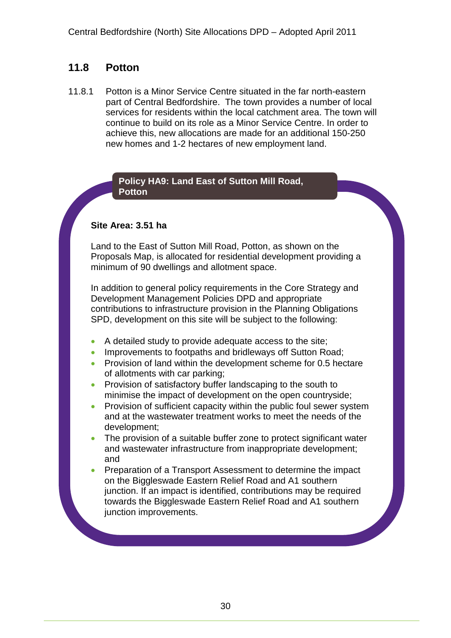### **11.8 Potton**

11.8.1 Potton is a Minor Service Centre situated in the far north-eastern part of Central Bedfordshire. The town provides a number of local services for residents within the local catchment area. The town will continue to build on its role as a Minor Service Centre. In order to achieve this, new allocations are made for an additional 150-250 new homes and 1-2 hectares of new employment land.

#### **Policy HA9: Land East of Sutton Mill Road, Potton**

#### **Site Area: 3.51 ha**

Land to the East of Sutton Mill Road, Potton, as shown on the Proposals Map, is allocated for residential development providing a minimum of 90 dwellings and allotment space.

- A detailed study to provide adequate access to the site;
- Improvements to footpaths and bridleways off Sutton Road;
- Provision of land within the development scheme for 0.5 hectare of allotments with car parking;
- Provision of satisfactory buffer landscaping to the south to minimise the impact of development on the open countryside;
- Provision of sufficient capacity within the public foul sewer system and at the wastewater treatment works to meet the needs of the development;
- The provision of a suitable buffer zone to protect significant water and wastewater infrastructure from inappropriate development; and
- Preparation of a Transport Assessment to determine the impact on the Biggleswade Eastern Relief Road and A1 southern junction. If an impact is identified, contributions may be required towards the Biggleswade Eastern Relief Road and A1 southern junction improvements.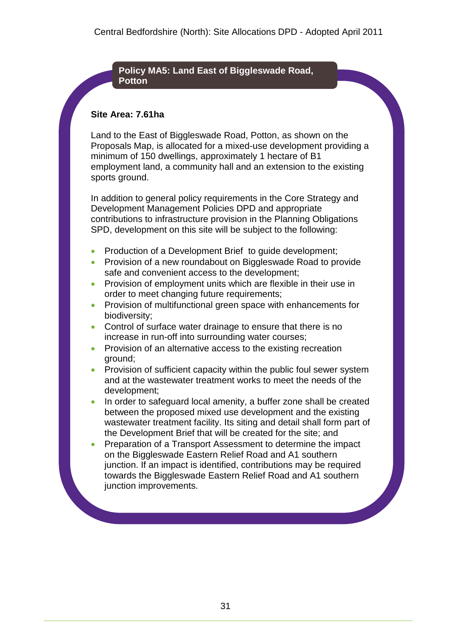#### **Policy MA5: Land East of Biggleswade Road, Potton**

#### **Site Area: 7.61ha**

Land to the East of Biggleswade Road, Potton, as shown on the Proposals Map, is allocated for a mixed-use development providing a minimum of 150 dwellings, approximately 1 hectare of B1 employment land, a community hall and an extension to the existing sports ground.

- Production of a Development Brief to guide development;
- **Provision of a new roundabout on Biggleswade Road to provide** safe and convenient access to the development;
- **•** Provision of employment units which are flexible in their use in order to meet changing future requirements;
- Provision of multifunctional green space with enhancements for biodiversity;
- Control of surface water drainage to ensure that there is no increase in run-off into surrounding water courses;
- Provision of an alternative access to the existing recreation ground;
- Provision of sufficient capacity within the public foul sewer system and at the wastewater treatment works to meet the needs of the development;
- In order to safeguard local amenity, a buffer zone shall be created between the proposed mixed use development and the existing wastewater treatment facility. Its siting and detail shall form part of the Development Brief that will be created for the site; and
- Preparation of a Transport Assessment to determine the impact on the Biggleswade Eastern Relief Road and A1 southern junction. If an impact is identified, contributions may be required towards the Biggleswade Eastern Relief Road and A1 southern junction improvements.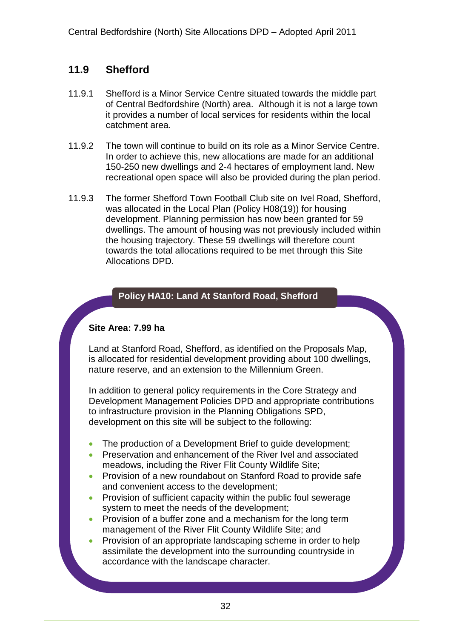### **11.9 Shefford**

- 11.9.1 Shefford is a Minor Service Centre situated towards the middle part of Central Bedfordshire (North) area. Although it is not a large town it provides a number of local services for residents within the local catchment area.
- 11.9.2 The town will continue to build on its role as a Minor Service Centre. In order to achieve this, new allocations are made for an additional 150-250 new dwellings and 2-4 hectares of employment land. New recreational open space will also be provided during the plan period.
- 11.9.3 The former Shefford Town Football Club site on Ivel Road, Shefford, was allocated in the Local Plan (Policy H08(19)) for housing development. Planning permission has now been granted for 59 dwellings. The amount of housing was not previously included within the housing trajectory. These 59 dwellings will therefore count towards the total allocations required to be met through this Site Allocations DPD.

#### **Policy HA10: Land At Stanford Road, Shefford**

#### **Site Area: 7.99 ha**

Land at Stanford Road, Shefford, as identified on the Proposals Map, is allocated for residential development providing about 100 dwellings, nature reserve, and an extension to the Millennium Green.

- The production of a Development Brief to quide development;
- Preservation and enhancement of the River Ivel and associated meadows, including the River Flit County Wildlife Site;
- Provision of a new roundabout on Stanford Road to provide safe and convenient access to the development;
- Provision of sufficient capacity within the public foul sewerage system to meet the needs of the development;
- Provision of a buffer zone and a mechanism for the long term management of the River Flit County Wildlife Site; and
- Provision of an appropriate landscaping scheme in order to help assimilate the development into the surrounding countryside in accordance with the landscape character.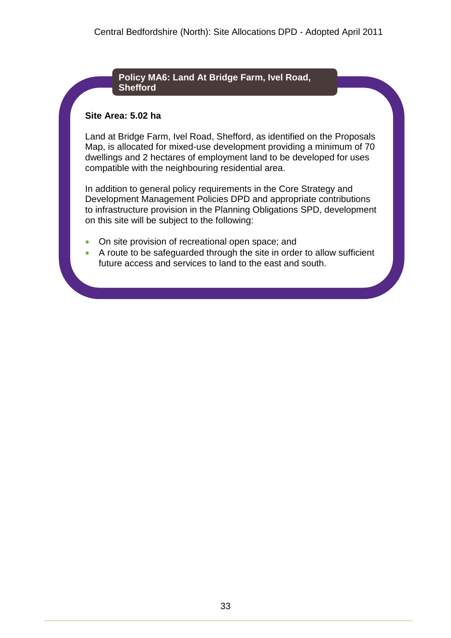#### **Policy MA6: Land At Bridge Farm, Ivel Road, Shefford**

#### **Site Area: 5.02 ha**

Land at Bridge Farm, Ivel Road, Shefford, as identified on the Proposals Map, is allocated for mixed-use development providing a minimum of 70 dwellings and 2 hectares of employment land to be developed for uses compatible with the neighbouring residential area.

- On site provision of recreational open space; and
- A route to be safeguarded through the site in order to allow sufficient future access and services to land to the east and south.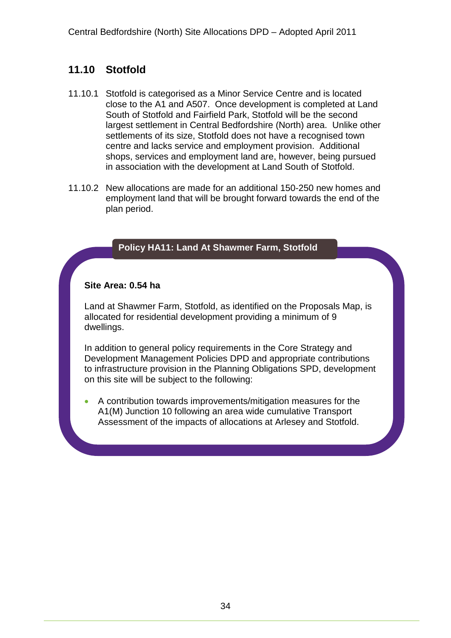### **11.10 Stotfold**

- 11.10.1 Stotfold is categorised as a Minor Service Centre and is located close to the A1 and A507. Once development is completed at Land South of Stotfold and Fairfield Park, Stotfold will be the second largest settlement in Central Bedfordshire (North) area. Unlike other settlements of its size, Stotfold does not have a recognised town centre and lacks service and employment provision. Additional shops, services and employment land are, however, being pursued in association with the development at Land South of Stotfold.
- 11.10.2 New allocations are made for an additional 150-250 new homes and employment land that will be brought forward towards the end of the plan period.

#### **Policy HA11: Land At Shawmer Farm, Stotfold**

#### **Site Area: 0.54 ha**

Land at Shawmer Farm, Stotfold, as identified on the Proposals Map, is allocated for residential development providing a minimum of 9 dwellings.

In addition to general policy requirements in the Core Strategy and Development Management Policies DPD and appropriate contributions to infrastructure provision in the Planning Obligations SPD, development on this site will be subject to the following:

 A contribution towards improvements/mitigation measures for the A1(M) Junction 10 following an area wide cumulative Transport Assessment of the impacts of allocations at Arlesey and Stotfold.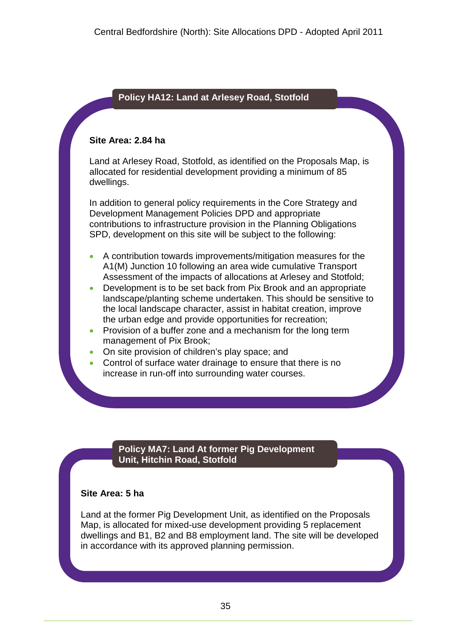#### **Policy HA12: Land at Arlesey Road, Stotfold**

#### **Site Area: 2.84 ha**

Land at Arlesey Road, Stotfold, as identified on the Proposals Map, is allocated for residential development providing a minimum of 85 dwellings.

In addition to general policy requirements in the Core Strategy and Development Management Policies DPD and appropriate contributions to infrastructure provision in the Planning Obligations SPD, development on this site will be subject to the following:

- A contribution towards improvements/mitigation measures for the A1(M) Junction 10 following an area wide cumulative Transport Assessment of the impacts of allocations at Arlesey and Stotfold;
- Development is to be set back from Pix Brook and an appropriate landscape/planting scheme undertaken. This should be sensitive to the local landscape character, assist in habitat creation, improve the urban edge and provide opportunities for recreation;
- Provision of a buffer zone and a mechanism for the long term management of Pix Brook;
- On site provision of children's play space; and
- Control of surface water drainage to ensure that there is no increase in run-off into surrounding water courses.

#### **Policy MA7: Land At former Pig Development Unit, Hitchin Road, Stotfold**

#### **Site Area: 5 ha**

Land at the former Pig Development Unit, as identified on the Proposals Map, is allocated for mixed-use development providing 5 replacement dwellings and B1, B2 and B8 employment land. The site will be developed in accordance with its approved planning permission.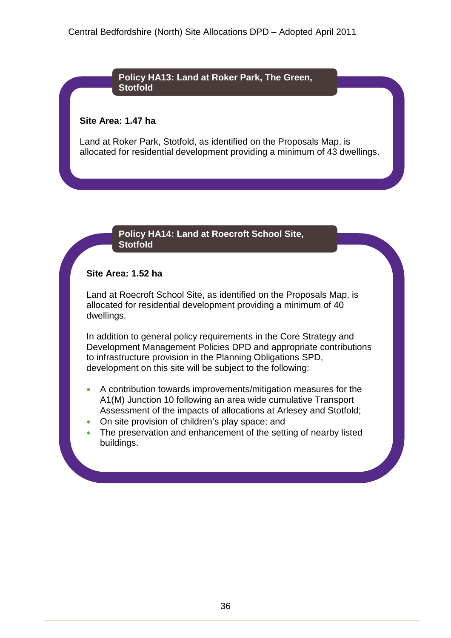**Policy HA13: Land at Roker Park, The Green, Stotfold**

#### **Site Area: 1.47 ha**

Land at Roker Park, Stotfold, as identified on the Proposals Map, is allocated for residential development providing a minimum of 43 dwellings.

#### **Policy HA14: Land at Roecroft School Site, Stotfold**

### **Site Area: 1.52 ha**

Land at Roecroft School Site, as identified on the Proposals Map, is allocated for residential development providing a minimum of 40 dwellings.

In addition to general policy requirements in the Core Strategy and Development Management Policies DPD and appropriate contributions to infrastructure provision in the Planning Obligations SPD, development on this site will be subject to the following:

- A contribution towards improvements/mitigation measures for the A1(M) Junction 10 following an area wide cumulative Transport Assessment of the impacts of allocations at Arlesey and Stotfold;
- On site provision of children's play space; and
- The preservation and enhancement of the setting of nearby listed buildings.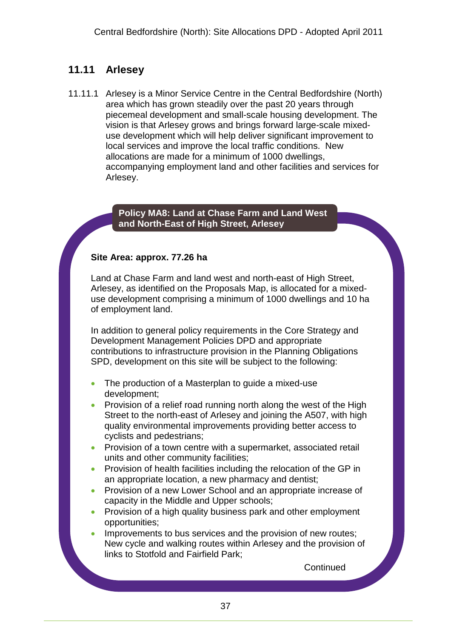# **11.11 Arlesey**

11.11.1 Arlesey is a Minor Service Centre in the Central Bedfordshire (North) area which has grown steadily over the past 20 years through piecemeal development and small-scale housing development. The vision is that Arlesey grows and brings forward large-scale mixeduse development which will help deliver significant improvement to local services and improve the local traffic conditions. New allocations are made for a minimum of 1000 dwellings, accompanying employment land and other facilities and services for Arlesey.

### **Policy MA8: Land at Chase Farm and Land West and North-East of High Street, Arlesey**

### **Site Area: approx. 77.26 ha**

Land at Chase Farm and land west and north-east of High Street, Arlesey, as identified on the Proposals Map, is allocated for a mixeduse development comprising a minimum of 1000 dwellings and 10 ha of employment land.

In addition to general policy requirements in the Core Strategy and Development Management Policies DPD and appropriate contributions to infrastructure provision in the Planning Obligations SPD, development on this site will be subject to the following:

- The production of a Masterplan to guide a mixed-use development;
- Provision of a relief road running north along the west of the High Street to the north-east of Arlesey and joining the A507, with high quality environmental improvements providing better access to cyclists and pedestrians;
- **•** Provision of a town centre with a supermarket, associated retail units and other community facilities;
- **•** Provision of health facilities including the relocation of the GP in an appropriate location, a new pharmacy and dentist;
- Provision of a new Lower School and an appropriate increase of capacity in the Middle and Upper schools;
- Provision of a high quality business park and other employment opportunities;
- Improvements to bus services and the provision of new routes; New cycle and walking routes within Arlesey and the provision of links to Stotfold and Fairfield Park;

**Continued**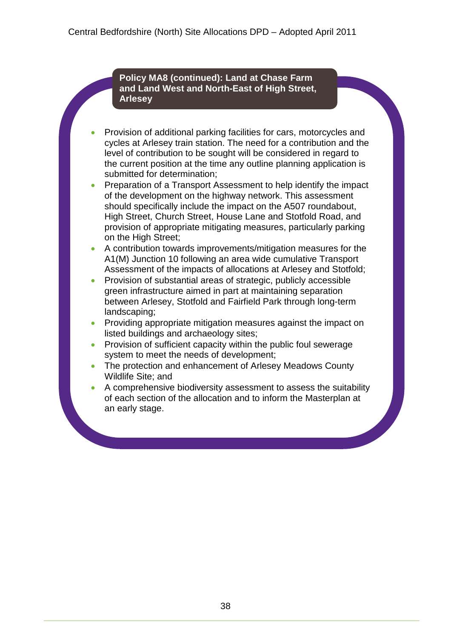**Policy MA8 (continued): Land at Chase Farm and Land West and North-East of High Street, Arlesey**

 Provision of additional parking facilities for cars, motorcycles and cycles at Arlesey train station. The need for a contribution and the level of contribution to be sought will be considered in regard to the current position at the time any outline planning application is submitted for determination;

 Preparation of a Transport Assessment to help identify the impact of the development on the highway network. This assessment should specifically include the impact on the A507 roundabout, High Street, Church Street, House Lane and Stotfold Road, and provision of appropriate mitigating measures, particularly parking on the High Street:

- A contribution towards improvements/mitigation measures for the A1(M) Junction 10 following an area wide cumulative Transport Assessment of the impacts of allocations at Arlesey and Stotfold;
- Provision of substantial areas of strategic, publicly accessible green infrastructure aimed in part at maintaining separation between Arlesey, Stotfold and Fairfield Park through long-term landscaping;
- Providing appropriate mitigation measures against the impact on listed buildings and archaeology sites;
- Provision of sufficient capacity within the public foul sewerage system to meet the needs of development;
- The protection and enhancement of Arlesey Meadows County Wildlife Site; and
- A comprehensive biodiversity assessment to assess the suitability of each section of the allocation and to inform the Masterplan at an early stage.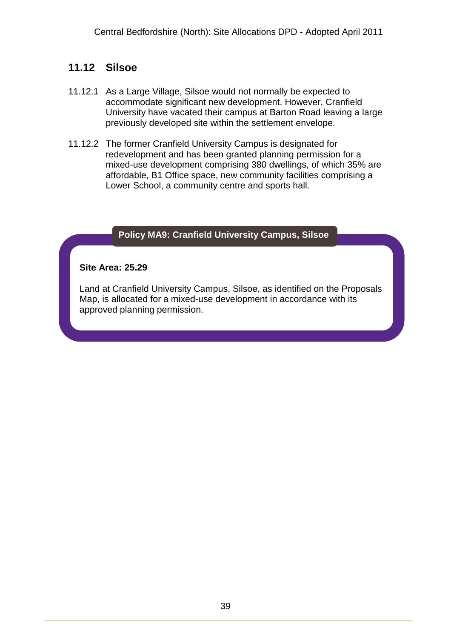# **11.12 Silsoe**

- 11.12.1 As a Large Village, Silsoe would not normally be expected to accommodate significant new development. However, Cranfield University have vacated their campus at Barton Road leaving a large previously developed site within the settlement envelope.
- 11.12.2 The former Cranfield University Campus is designated for redevelopment and has been granted planning permission for a mixed-use development comprising 380 dwellings, of which 35% are affordable, B1 Office space, new community facilities comprising a Lower School, a community centre and sports hall.

### **Policy MA9: Cranfield University Campus, Silsoe**

#### **Site Area: 25.29**

Land at Cranfield University Campus, Silsoe, as identified on the Proposals Map, is allocated for a mixed-use development in accordance with its approved planning permission.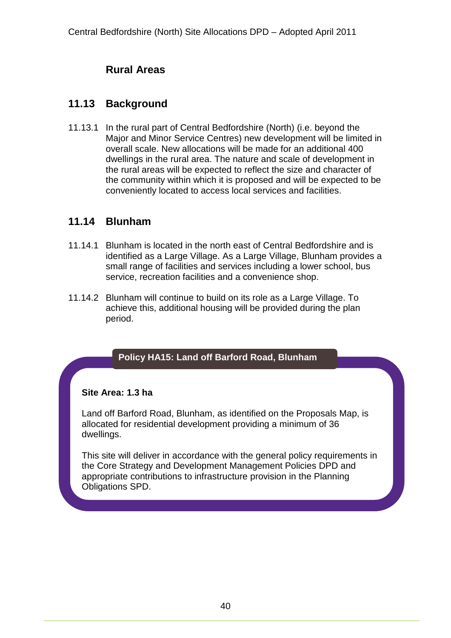# **Rural Areas**

### **11.13 Background**

11.13.1 In the rural part of Central Bedfordshire (North) (i.e. beyond the Major and Minor Service Centres) new development will be limited in overall scale. New allocations will be made for an additional 400 dwellings in the rural area. The nature and scale of development in the rural areas will be expected to reflect the size and character of the community within which it is proposed and will be expected to be conveniently located to access local services and facilities.

### **11.14 Blunham**

- 11.14.1 Blunham is located in the north east of Central Bedfordshire and is identified as a Large Village. As a Large Village, Blunham provides a small range of facilities and services including a lower school, bus service, recreation facilities and a convenience shop.
- 11.14.2 Blunham will continue to build on its role as a Large Village. To achieve this, additional housing will be provided during the plan period.

### **Policy HA15: Land off Barford Road, Blunham**

### **Site Area: 1.3 ha**

Land off Barford Road, Blunham, as identified on the Proposals Map, is allocated for residential development providing a minimum of 36 dwellings.

This site will deliver in accordance with the general policy requirements in the Core Strategy and Development Management Policies DPD and appropriate contributions to infrastructure provision in the Planning Obligations SPD.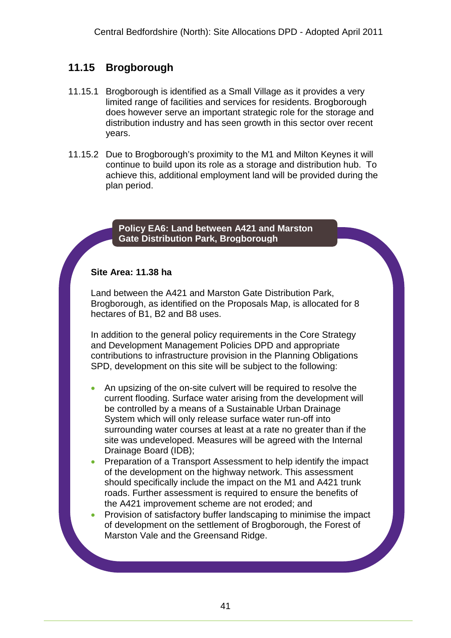# **11.15 Brogborough**

- 11.15.1 Brogborough is identified as a Small Village as it provides a very limited range of facilities and services for residents. Brogborough does however serve an important strategic role for the storage and distribution industry and has seen growth in this sector over recent years.
- 11.15.2 Due to Brogborough's proximity to the M1 and Milton Keynes it will continue to build upon its role as a storage and distribution hub. To achieve this, additional employment land will be provided during the plan period.

### **Policy EA6: Land between A421 and Marston Gate Distribution Park, Brogborough**

### **Site Area: 11.38 ha**

Land between the A421 and Marston Gate Distribution Park, Brogborough, as identified on the Proposals Map, is allocated for 8 hectares of B1, B2 and B8 uses.

In addition to the general policy requirements in the Core Strategy and Development Management Policies DPD and appropriate contributions to infrastructure provision in the Planning Obligations SPD, development on this site will be subject to the following:

- An upsizing of the on-site culvert will be required to resolve the current flooding. Surface water arising from the development will be controlled by a means of a Sustainable Urban Drainage System which will only release surface water run-off into surrounding water courses at least at a rate no greater than if the site was undeveloped. Measures will be agreed with the Internal Drainage Board (IDB);
- Preparation of a Transport Assessment to help identify the impact of the development on the highway network. This assessment should specifically include the impact on the M1 and A421 trunk roads. Further assessment is required to ensure the benefits of the A421 improvement scheme are not eroded; and
- Provision of satisfactory buffer landscaping to minimise the impact of development on the settlement of Brogborough, the Forest of Marston Vale and the Greensand Ridge.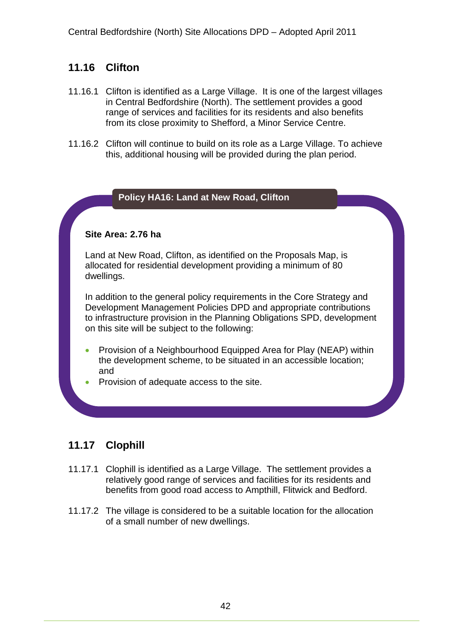# **11.16 Clifton**

- 11.16.1 Clifton is identified as a Large Village. It is one of the largest villages in Central Bedfordshire (North). The settlement provides a good range of services and facilities for its residents and also benefits from its close proximity to Shefford, a Minor Service Centre.
- 11.16.2 Clifton will continue to build on its role as a Large Village. To achieve this, additional housing will be provided during the plan period.

### **Policy HA16: Land at New Road, Clifton**

### **Site Area: 2.76 ha**

Land at New Road, Clifton, as identified on the Proposals Map, is allocated for residential development providing a minimum of 80 dwellings.

In addition to the general policy requirements in the Core Strategy and Development Management Policies DPD and appropriate contributions to infrastructure provision in the Planning Obligations SPD, development on this site will be subject to the following:

- Provision of a Neighbourhood Equipped Area for Play (NEAP) within the development scheme, to be situated in an accessible location; and
- Provision of adequate access to the site.

## **11.17 Clophill**

- 11.17.1 Clophill is identified as a Large Village. The settlement provides a relatively good range of services and facilities for its residents and benefits from good road access to Ampthill, Flitwick and Bedford.
- 11.17.2 The village is considered to be a suitable location for the allocation of a small number of new dwellings.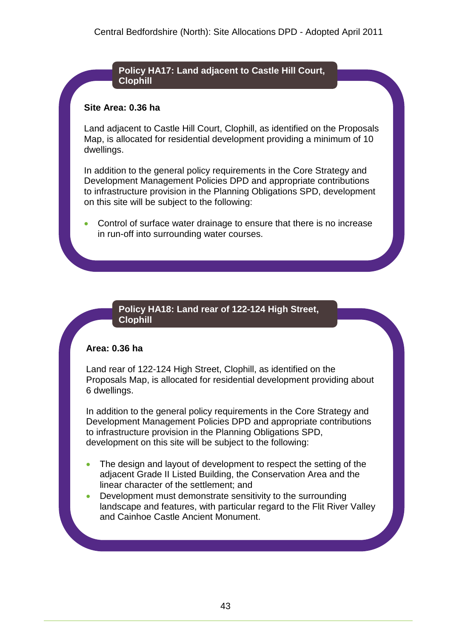**Policy HA17: Land adjacent to Castle Hill Court, Clophill**

#### **Site Area: 0.36 ha**

Land adjacent to Castle Hill Court, Clophill, as identified on the Proposals Map, is allocated for residential development providing a minimum of 10 dwellings.

In addition to the general policy requirements in the Core Strategy and Development Management Policies DPD and appropriate contributions to infrastructure provision in the Planning Obligations SPD, development on this site will be subject to the following:

 Control of surface water drainage to ensure that there is no increase in run-off into surrounding water courses.

### **Policy HA18: Land rear of 122-124 High Street, Clophill**

### **Area: 0.36 ha**

Land rear of 122-124 High Street, Clophill, as identified on the Proposals Map, is allocated for residential development providing about 6 dwellings.

In addition to the general policy requirements in the Core Strategy and Development Management Policies DPD and appropriate contributions to infrastructure provision in the Planning Obligations SPD, development on this site will be subject to the following:

- The design and layout of development to respect the setting of the adjacent Grade II Listed Building, the Conservation Area and the linear character of the settlement; and
- Development must demonstrate sensitivity to the surrounding landscape and features, with particular regard to the Flit River Valley and Cainhoe Castle Ancient Monument.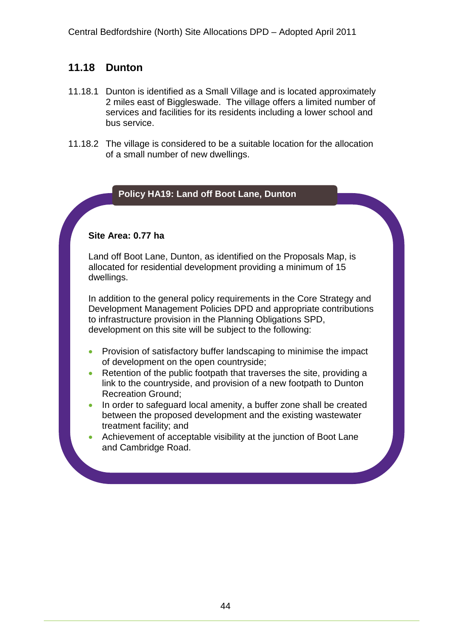### **11.18 Dunton**

- 11.18.1 Dunton is identified as a Small Village and is located approximately 2 miles east of Biggleswade. The village offers a limited number of services and facilities for its residents including a lower school and bus service.
- 11.18.2 The village is considered to be a suitable location for the allocation of a small number of new dwellings.

### **Policy HA19: Land off Boot Lane, Dunton**

### **Site Area: 0.77 ha**

Land off Boot Lane, Dunton, as identified on the Proposals Map, is allocated for residential development providing a minimum of 15 dwellings.

In addition to the general policy requirements in the Core Strategy and Development Management Policies DPD and appropriate contributions to infrastructure provision in the Planning Obligations SPD, development on this site will be subject to the following:

- Provision of satisfactory buffer landscaping to minimise the impact of development on the open countryside;
- Retention of the public footpath that traverses the site, providing a link to the countryside, and provision of a new footpath to Dunton Recreation Ground;
- In order to safeguard local amenity, a buffer zone shall be created between the proposed development and the existing wastewater treatment facility; and
- Achievement of acceptable visibility at the junction of Boot Lane and Cambridge Road.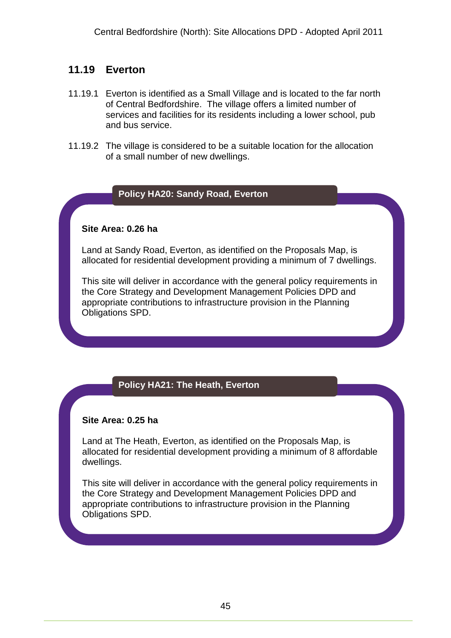### **11.19 Everton**

- 11.19.1 Everton is identified as a Small Village and is located to the far north of Central Bedfordshire. The village offers a limited number of services and facilities for its residents including a lower school, pub and bus service.
- 11.19.2 The village is considered to be a suitable location for the allocation of a small number of new dwellings.

### **Policy HA20: Sandy Road, Everton**

### **Site Area: 0.26 ha**

Land at Sandy Road, Everton, as identified on the Proposals Map, is allocated for residential development providing a minimum of 7 dwellings.

This site will deliver in accordance with the general policy requirements in the Core Strategy and Development Management Policies DPD and appropriate contributions to infrastructure provision in the Planning Obligations SPD.

## **Policy HA21: The Heath, Everton**

### **Site Area: 0.25 ha**

Land at The Heath, Everton, as identified on the Proposals Map, is allocated for residential development providing a minimum of 8 affordable dwellings.

This site will deliver in accordance with the general policy requirements in the Core Strategy and Development Management Policies DPD and appropriate contributions to infrastructure provision in the Planning Obligations SPD.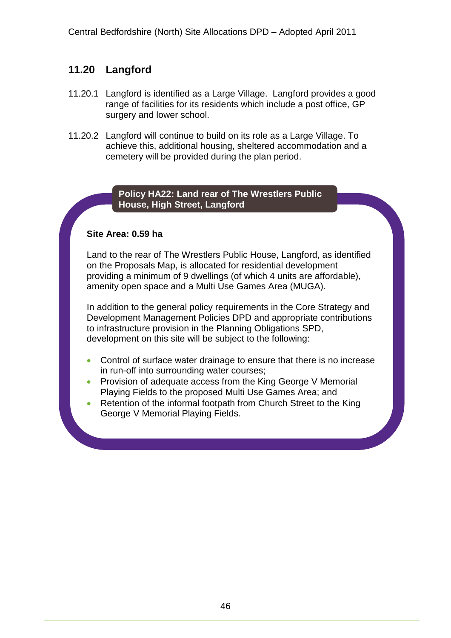# **11.20 Langford**

- 11.20.1 Langford is identified as a Large Village. Langford provides a good range of facilities for its residents which include a post office, GP surgery and lower school.
- 11.20.2 Langford will continue to build on its role as a Large Village. To achieve this, additional housing, sheltered accommodation and a cemetery will be provided during the plan period.

### **Policy HA22: Land rear of The Wrestlers Public House, High Street, Langford**

### **Site Area: 0.59 ha**

Land to the rear of The Wrestlers Public House, Langford, as identified on the Proposals Map, is allocated for residential development providing a minimum of 9 dwellings (of which 4 units are affordable), amenity open space and a Multi Use Games Area (MUGA).

In addition to the general policy requirements in the Core Strategy and Development Management Policies DPD and appropriate contributions to infrastructure provision in the Planning Obligations SPD, development on this site will be subject to the following:

- Control of surface water drainage to ensure that there is no increase in run-off into surrounding water courses;
- Provision of adequate access from the King George V Memorial Playing Fields to the proposed Multi Use Games Area; and
- Retention of the informal footpath from Church Street to the King George V Memorial Playing Fields.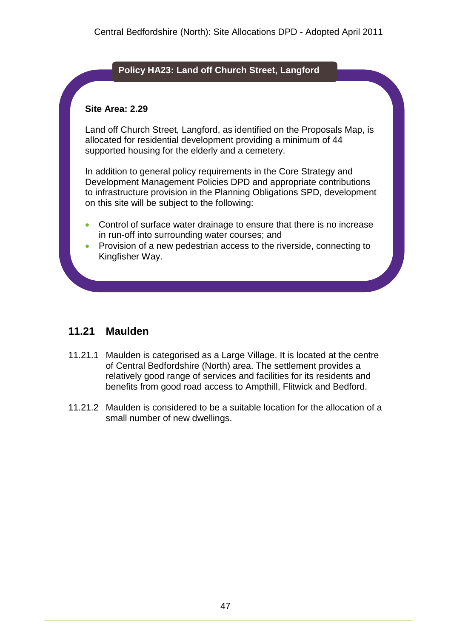### **Policy HA23: Land off Church Street, Langford**

### **Site Area: 2.29**

Land off Church Street, Langford, as identified on the Proposals Map, is allocated for residential development providing a minimum of 44 supported housing for the elderly and a cemetery.

In addition to general policy requirements in the Core Strategy and Development Management Policies DPD and appropriate contributions to infrastructure provision in the Planning Obligations SPD, development on this site will be subject to the following:

- Control of surface water drainage to ensure that there is no increase in run-off into surrounding water courses; and
- Provision of a new pedestrian access to the riverside, connecting to Kingfisher Way.

## **11.21 Maulden**

- 11.21.1 Maulden is categorised as a Large Village. It is located at the centre of Central Bedfordshire (North) area. The settlement provides a relatively good range of services and facilities for its residents and benefits from good road access to Ampthill, Flitwick and Bedford.
- 11.21.2 Maulden is considered to be a suitable location for the allocation of a small number of new dwellings.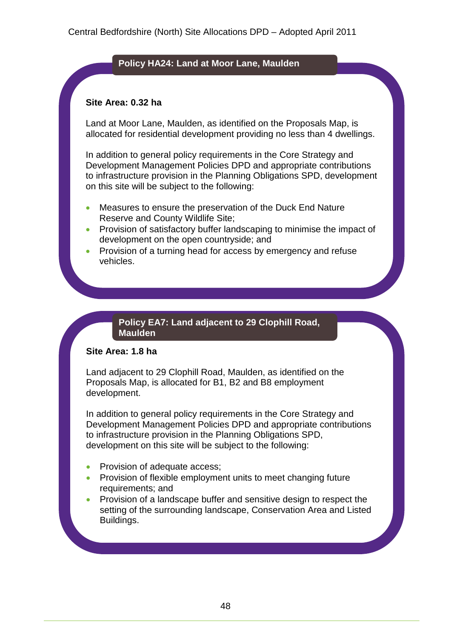### **Policy HA24: Land at Moor Lane, Maulden**

#### **Site Area: 0.32 ha**

Land at Moor Lane, Maulden, as identified on the Proposals Map, is allocated for residential development providing no less than 4 dwellings.

In addition to general policy requirements in the Core Strategy and Development Management Policies DPD and appropriate contributions to infrastructure provision in the Planning Obligations SPD, development on this site will be subject to the following:

- Measures to ensure the preservation of the Duck End Nature Reserve and County Wildlife Site;
- Provision of satisfactory buffer landscaping to minimise the impact of development on the open countryside; and
- Provision of a turning head for access by emergency and refuse vehicles.

### **Policy EA7: Land adjacent to 29 Clophill Road, Maulden**

#### **Site Area: 1.8 ha**

Land adjacent to 29 Clophill Road, Maulden, as identified on the Proposals Map, is allocated for B1, B2 and B8 employment development.

In addition to general policy requirements in the Core Strategy and Development Management Policies DPD and appropriate contributions to infrastructure provision in the Planning Obligations SPD, development on this site will be subject to the following:

- Provision of adequate access;
- Provision of flexible employment units to meet changing future requirements; and
- Provision of a landscape buffer and sensitive design to respect the setting of the surrounding landscape, Conservation Area and Listed Buildings.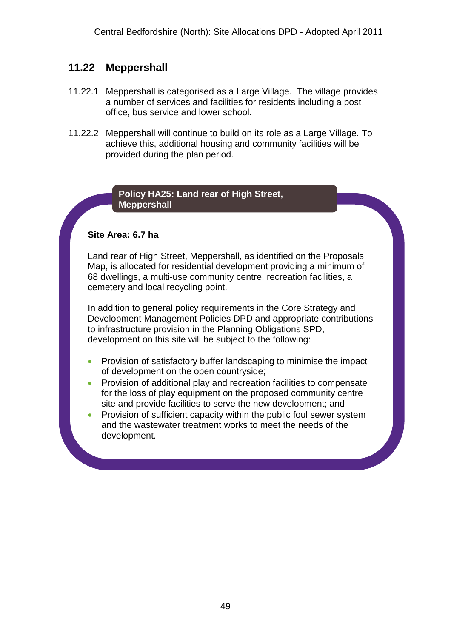# **11.22 Meppershall**

- 11.22.1 Meppershall is categorised as a Large Village. The village provides a number of services and facilities for residents including a post office, bus service and lower school.
- 11.22.2 Meppershall will continue to build on its role as a Large Village. To achieve this, additional housing and community facilities will be provided during the plan period.

### **Policy HA25: Land rear of High Street, Meppershall**

### **Site Area: 6.7 ha**

Land rear of High Street, Meppershall, as identified on the Proposals Map, is allocated for residential development providing a minimum of 68 dwellings, a multi-use community centre, recreation facilities, a cemetery and local recycling point.

In addition to general policy requirements in the Core Strategy and Development Management Policies DPD and appropriate contributions to infrastructure provision in the Planning Obligations SPD, development on this site will be subject to the following:

- Provision of satisfactory buffer landscaping to minimise the impact of development on the open countryside;
- Provision of additional play and recreation facilities to compensate for the loss of play equipment on the proposed community centre site and provide facilities to serve the new development; and
- Provision of sufficient capacity within the public foul sewer system and the wastewater treatment works to meet the needs of the development.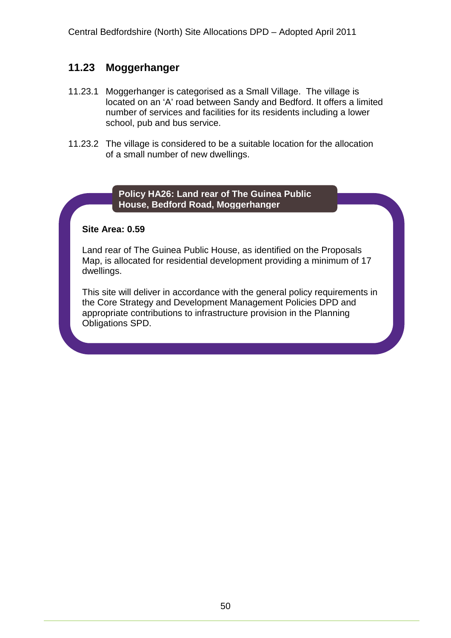# **11.23 Moggerhanger**

- 11.23.1 Moggerhanger is categorised as a Small Village. The village is located on an 'A' road between Sandy and Bedford. It offers a limited number of services and facilities for its residents including a lower school, pub and bus service.
- 11.23.2 The village is considered to be a suitable location for the allocation of a small number of new dwellings.

### **Policy HA26: Land rear of The Guinea Public House, Bedford Road, Moggerhanger**

### **Site Area: 0.59**

Land rear of The Guinea Public House, as identified on the Proposals Map, is allocated for residential development providing a minimum of 17 dwellings.

This site will deliver in accordance with the general policy requirements in the Core Strategy and Development Management Policies DPD and appropriate contributions to infrastructure provision in the Planning Obligations SPD.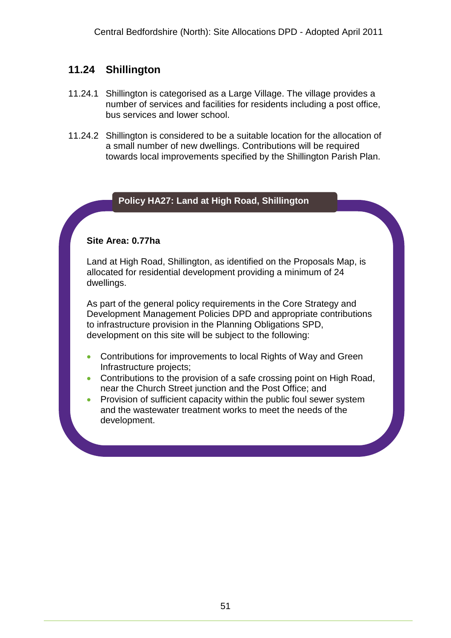# **11.24 Shillington**

- 11.24.1 Shillington is categorised as a Large Village. The village provides a number of services and facilities for residents including a post office, bus services and lower school.
- 11.24.2 Shillington is considered to be a suitable location for the allocation of a small number of new dwellings. Contributions will be required towards local improvements specified by the Shillington Parish Plan.

### **Policy HA27: Land at High Road, Shillington**

### **Site Area: 0.77ha**

Land at High Road, Shillington, as identified on the Proposals Map, is allocated for residential development providing a minimum of 24 dwellings.

As part of the general policy requirements in the Core Strategy and Development Management Policies DPD and appropriate contributions to infrastructure provision in the Planning Obligations SPD, development on this site will be subject to the following:

- Contributions for improvements to local Rights of Way and Green Infrastructure projects;
- Contributions to the provision of a safe crossing point on High Road, near the Church Street junction and the Post Office; and
- Provision of sufficient capacity within the public foul sewer system and the wastewater treatment works to meet the needs of the development.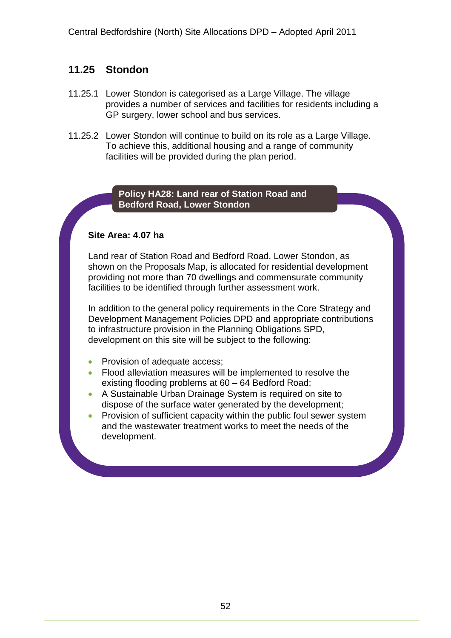# **11.25 Stondon**

- 11.25.1 Lower Stondon is categorised as a Large Village. The village provides a number of services and facilities for residents including a GP surgery, lower school and bus services.
- 11.25.2 Lower Stondon will continue to build on its role as a Large Village. To achieve this, additional housing and a range of community facilities will be provided during the plan period.

### **Policy HA28: Land rear of Station Road and Bedford Road, Lower Stondon**

### **Site Area: 4.07 ha**

Land rear of Station Road and Bedford Road, Lower Stondon, as shown on the Proposals Map, is allocated for residential development providing not more than 70 dwellings and commensurate community facilities to be identified through further assessment work.

In addition to the general policy requirements in the Core Strategy and Development Management Policies DPD and appropriate contributions to infrastructure provision in the Planning Obligations SPD, development on this site will be subject to the following:

- Provision of adequate access;
- Flood alleviation measures will be implemented to resolve the existing flooding problems at 60 – 64 Bedford Road;
- A Sustainable Urban Drainage System is required on site to dispose of the surface water generated by the development;
- Provision of sufficient capacity within the public foul sewer system and the wastewater treatment works to meet the needs of the development.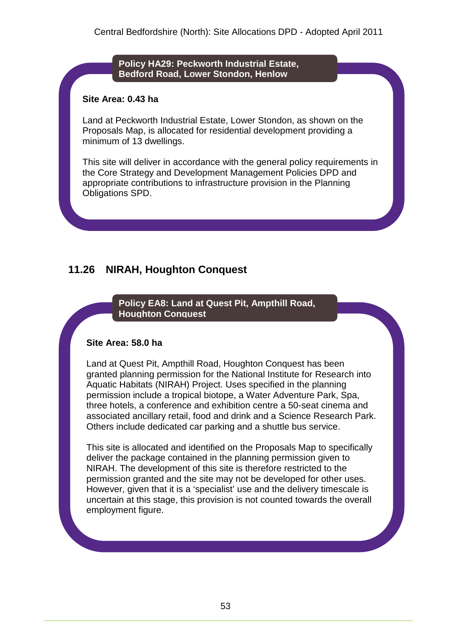**Policy HA29: Peckworth Industrial Estate, Bedford Road, Lower Stondon, Henlow**

### **Site Area: 0.43 ha**

Land at Peckworth Industrial Estate, Lower Stondon, as shown on the Proposals Map, is allocated for residential development providing a minimum of 13 dwellings.

This site will deliver in accordance with the general policy requirements in the Core Strategy and Development Management Policies DPD and appropriate contributions to infrastructure provision in the Planning Obligations SPD.

# **11.26 NIRAH, Houghton Conquest**

**Policy EA8: Land at Quest Pit, Ampthill Road, Houghton Conquest**

### **Site Area: 58.0 ha**

Land at Quest Pit, Ampthill Road, Houghton Conquest has been granted planning permission for the National Institute for Research into Aquatic Habitats (NIRAH) Project. Uses specified in the planning permission include a tropical biotope, a Water Adventure Park, Spa, three hotels, a conference and exhibition centre a 50-seat cinema and associated ancillary retail, food and drink and a Science Research Park. Others include dedicated car parking and a shuttle bus service.

This site is allocated and identified on the Proposals Map to specifically deliver the package contained in the planning permission given to NIRAH. The development of this site is therefore restricted to the permission granted and the site may not be developed for other uses. However, given that it is a 'specialist' use and the delivery timescale is uncertain at this stage, this provision is not counted towards the overall employment figure.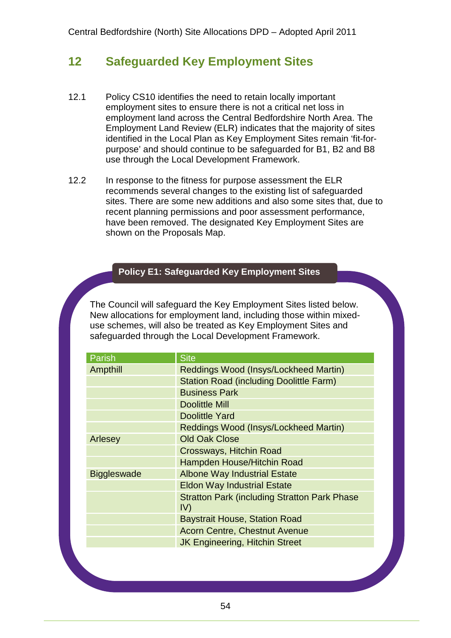# **12 Safeguarded Key Employment Sites**

- 12.1 Policy CS10 identifies the need to retain locally important employment sites to ensure there is not a critical net loss in employment land across the Central Bedfordshire North Area. The Employment Land Review (ELR) indicates that the majority of sites identified in the Local Plan as Key Employment Sites remain 'fit-forpurpose' and should continue to be safeguarded for B1, B2 and B8 use through the Local Development Framework.
- 12.2 In response to the fitness for purpose assessment the ELR recommends several changes to the existing list of safeguarded sites. There are some new additions and also some sites that, due to recent planning permissions and poor assessment performance, have been removed. The designated Key Employment Sites are shown on the Proposals Map.

### **Policy E1: Safeguarded Key Employment Sites**

The Council will safeguard the Key Employment Sites listed below. New allocations for employment land, including those within mixeduse schemes, will also be treated as Key Employment Sites and safeguarded through the Local Development Framework.

| Parish             | <b>Site</b>                                          |  |
|--------------------|------------------------------------------------------|--|
| Ampthill           | Reddings Wood (Insys/Lockheed Martin)                |  |
|                    | <b>Station Road (including Doolittle Farm)</b>       |  |
|                    | <b>Business Park</b>                                 |  |
|                    | <b>Doolittle Mill</b>                                |  |
|                    | <b>Doolittle Yard</b>                                |  |
|                    | Reddings Wood (Insys/Lockheed Martin)                |  |
| Arlesey            | <b>Old Oak Close</b>                                 |  |
|                    | Crossways, Hitchin Road                              |  |
|                    | Hampden House/Hitchin Road                           |  |
| <b>Biggleswade</b> | <b>Albone Way Industrial Estate</b>                  |  |
|                    | <b>Eldon Way Industrial Estate</b>                   |  |
|                    | <b>Stratton Park (including Stratton Park Phase)</b> |  |
|                    | IV)                                                  |  |
|                    | <b>Baystrait House, Station Road</b>                 |  |
|                    | <b>Acorn Centre, Chestnut Avenue</b>                 |  |
|                    | <b>JK Engineering, Hitchin Street</b>                |  |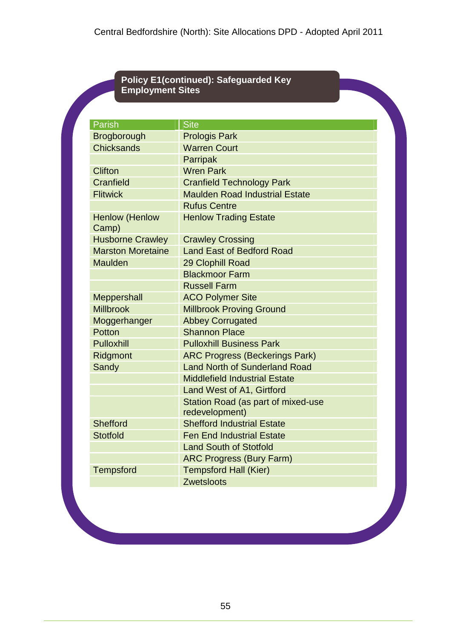### **Policy E1(continued): Safeguarded Key Employment Sites**

| <b>Parish</b>                  | <b>Site</b>                           |
|--------------------------------|---------------------------------------|
| Brogborough                    | <b>Prologis Park</b>                  |
| <b>Chicksands</b>              | <b>Warren Court</b>                   |
|                                | <b>Parripak</b>                       |
| <b>Clifton</b>                 | <b>Wren Park</b>                      |
| Cranfield                      | <b>Cranfield Technology Park</b>      |
| <b>Flitwick</b>                | <b>Maulden Road Industrial Estate</b> |
|                                | <b>Rufus Centre</b>                   |
| <b>Henlow (Henlow</b><br>Camp) | <b>Henlow Trading Estate</b>          |
| <b>Husborne Crawley</b>        | <b>Crawley Crossing</b>               |
| <b>Marston Moretaine</b>       | <b>Land East of Bedford Road</b>      |
| <b>Maulden</b>                 | 29 Clophill Road                      |
|                                | <b>Blackmoor Farm</b>                 |
|                                | <b>Russell Farm</b>                   |
| Meppershall                    | <b>ACO Polymer Site</b>               |
| <b>Millbrook</b>               | <b>Millbrook Proving Ground</b>       |
| Moggerhanger                   | <b>Abbey Corrugated</b>               |
| Potton                         | <b>Shannon Place</b>                  |
| <b>Pulloxhill</b>              | <b>Pulloxhill Business Park</b>       |
| Ridgmont                       | <b>ARC Progress (Beckerings Park)</b> |
| Sandy                          | <b>Land North of Sunderland Road</b>  |
|                                | <b>Middlefield Industrial Estate</b>  |
|                                | Land West of A1, Girtford             |
|                                | Station Road (as part of mixed-use    |
|                                | redevelopment)                        |
| Shefford                       | <b>Shefford Industrial Estate</b>     |
| <b>Stotfold</b>                | <b>Fen End Industrial Estate</b>      |
|                                | <b>Land South of Stotfold</b>         |
|                                | <b>ARC Progress (Bury Farm)</b>       |
| <b>Tempsford</b>               | <b>Tempsford Hall (Kier)</b>          |
|                                | <b>Zwetsloots</b>                     |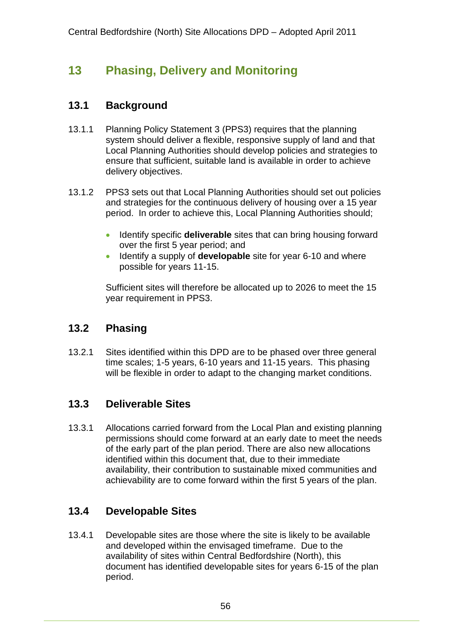# **13 Phasing, Delivery and Monitoring**

# **13.1 Background**

- 13.1.1 Planning Policy Statement 3 (PPS3) requires that the planning system should deliver a flexible, responsive supply of land and that Local Planning Authorities should develop policies and strategies to ensure that sufficient, suitable land is available in order to achieve delivery objectives.
- 13.1.2 PPS3 sets out that Local Planning Authorities should set out policies and strategies for the continuous delivery of housing over a 15 year period. In order to achieve this, Local Planning Authorities should;
	- **IDENTIFY SPECIFIC deliverable** sites that can bring housing forward over the first 5 year period; and
	- **IDENTIFY** a supply of **developable** site for year 6-10 and where possible for years 11-15.

Sufficient sites will therefore be allocated up to 2026 to meet the 15 year requirement in PPS3.

## **13.2 Phasing**

13.2.1 Sites identified within this DPD are to be phased over three general time scales; 1-5 years, 6-10 years and 11-15 years. This phasing will be flexible in order to adapt to the changing market conditions.

## **13.3 Deliverable Sites**

13.3.1 Allocations carried forward from the Local Plan and existing planning permissions should come forward at an early date to meet the needs of the early part of the plan period. There are also new allocations identified within this document that, due to their immediate availability, their contribution to sustainable mixed communities and achievability are to come forward within the first 5 years of the plan.

## **13.4 Developable Sites**

13.4.1 Developable sites are those where the site is likely to be available and developed within the envisaged timeframe. Due to the availability of sites within Central Bedfordshire (North), this document has identified developable sites for years 6-15 of the plan period.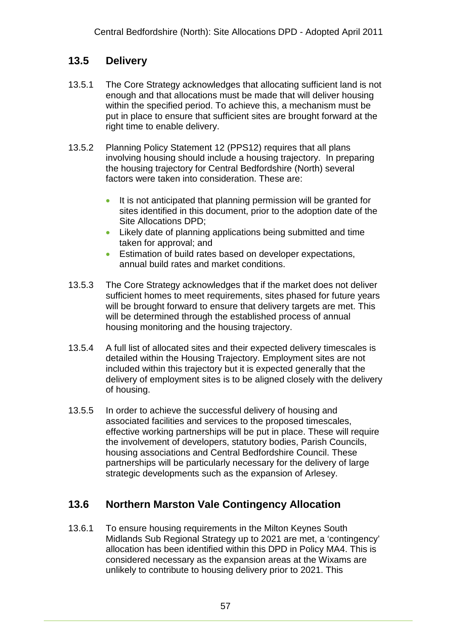# **13.5 Delivery**

- 13.5.1 The Core Strategy acknowledges that allocating sufficient land is not enough and that allocations must be made that will deliver housing within the specified period. To achieve this, a mechanism must be put in place to ensure that sufficient sites are brought forward at the right time to enable delivery.
- 13.5.2 Planning Policy Statement 12 (PPS12) requires that all plans involving housing should include a housing trajectory. In preparing the housing trajectory for Central Bedfordshire (North) several factors were taken into consideration. These are:
	- It is not anticipated that planning permission will be granted for sites identified in this document, prior to the adoption date of the Site Allocations DPD;
	- Likely date of planning applications being submitted and time taken for approval; and
	- **Estimation of build rates based on developer expectations.** annual build rates and market conditions.
- 13.5.3 The Core Strategy acknowledges that if the market does not deliver sufficient homes to meet requirements, sites phased for future years will be brought forward to ensure that delivery targets are met. This will be determined through the established process of annual housing monitoring and the housing trajectory.
- 13.5.4 A full list of allocated sites and their expected delivery timescales is detailed within the Housing Trajectory. Employment sites are not included within this trajectory but it is expected generally that the delivery of employment sites is to be aligned closely with the delivery of housing.
- 13.5.5 In order to achieve the successful delivery of housing and associated facilities and services to the proposed timescales, effective working partnerships will be put in place. These will require the involvement of developers, statutory bodies, Parish Councils, housing associations and Central Bedfordshire Council. These partnerships will be particularly necessary for the delivery of large strategic developments such as the expansion of Arlesey.

# **13.6 Northern Marston Vale Contingency Allocation**

13.6.1 To ensure housing requirements in the Milton Keynes South Midlands Sub Regional Strategy up to 2021 are met, a 'contingency' allocation has been identified within this DPD in Policy MA4. This is considered necessary as the expansion areas at the Wixams are unlikely to contribute to housing delivery prior to 2021. This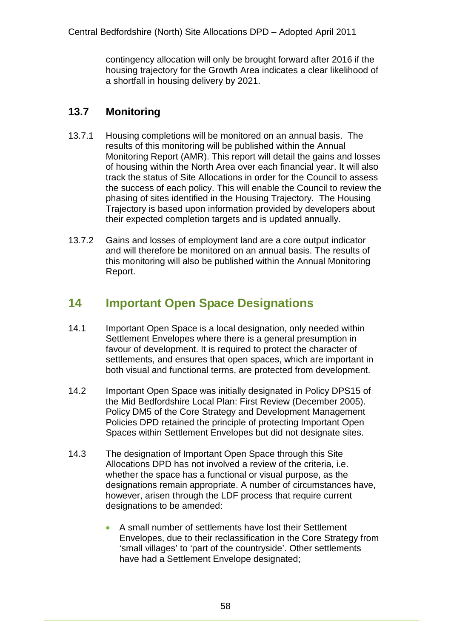contingency allocation will only be brought forward after 2016 if the housing trajectory for the Growth Area indicates a clear likelihood of a shortfall in housing delivery by 2021.

# **13.7 Monitoring**

- 13.7.1 Housing completions will be monitored on an annual basis. The results of this monitoring will be published within the Annual Monitoring Report (AMR). This report will detail the gains and losses of housing within the North Area over each financial year. It will also track the status of Site Allocations in order for the Council to assess the success of each policy. This will enable the Council to review the phasing of sites identified in the Housing Trajectory. The Housing Trajectory is based upon information provided by developers about their expected completion targets and is updated annually.
- 13.7.2 Gains and losses of employment land are a core output indicator and will therefore be monitored on an annual basis. The results of this monitoring will also be published within the Annual Monitoring Report.

# **14 Important Open Space Designations**

- 14.1 Important Open Space is a local designation, only needed within Settlement Envelopes where there is a general presumption in favour of development. It is required to protect the character of settlements, and ensures that open spaces, which are important in both visual and functional terms, are protected from development.
- 14.2 Important Open Space was initially designated in Policy DPS15 of the Mid Bedfordshire Local Plan: First Review (December 2005). Policy DM5 of the Core Strategy and Development Management Policies DPD retained the principle of protecting Important Open Spaces within Settlement Envelopes but did not designate sites.
- 14.3 The designation of Important Open Space through this Site Allocations DPD has not involved a review of the criteria, i.e. whether the space has a functional or visual purpose, as the designations remain appropriate. A number of circumstances have, however, arisen through the LDF process that require current designations to be amended:
	- A small number of settlements have lost their Settlement Envelopes, due to their reclassification in the Core Strategy from 'small villages' to 'part of the countryside'. Other settlements have had a Settlement Envelope designated;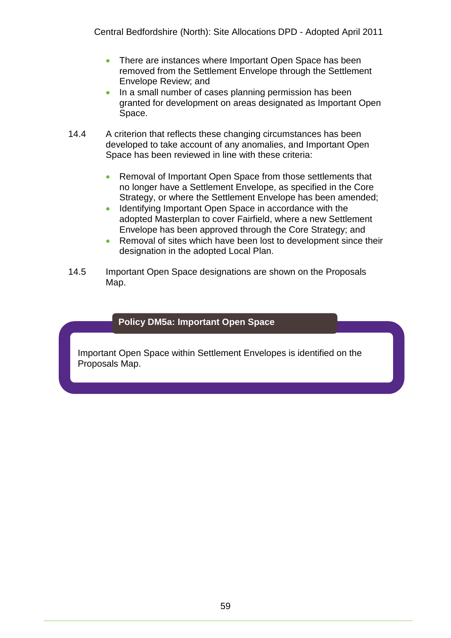- There are instances where Important Open Space has been removed from the Settlement Envelope through the Settlement Envelope Review; and
- In a small number of cases planning permission has been granted for development on areas designated as Important Open Space.
- 14.4 A criterion that reflects these changing circumstances has been developed to take account of any anomalies, and Important Open Space has been reviewed in line with these criteria:
	- Removal of Important Open Space from those settlements that no longer have a Settlement Envelope, as specified in the Core Strategy, or where the Settlement Envelope has been amended;
	- Identifying Important Open Space in accordance with the adopted Masterplan to cover Fairfield, where a new Settlement Envelope has been approved through the Core Strategy; and
	- Removal of sites which have been lost to development since their designation in the adopted Local Plan.
- 14.5 Important Open Space designations are shown on the Proposals Map.

### **Policy DM5a: Important Open Space**

Important Open Space within Settlement Envelopes is identified on the Proposals Map.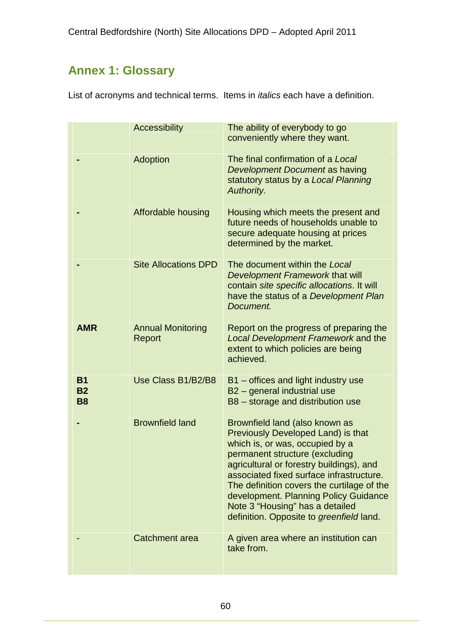# **Annex 1: Glossary**

List of acronyms and technical terms. Items in *italics* each have a definition.

|                                     | <b>Accessibility</b>               | The ability of everybody to go<br>conveniently where they want.                                                                                                                                                                                                                                                                                                                                         |
|-------------------------------------|------------------------------------|---------------------------------------------------------------------------------------------------------------------------------------------------------------------------------------------------------------------------------------------------------------------------------------------------------------------------------------------------------------------------------------------------------|
|                                     | <b>Adoption</b>                    | The final confirmation of a Local<br>Development Document as having<br>statutory status by a Local Planning<br>Authority.                                                                                                                                                                                                                                                                               |
|                                     | Affordable housing                 | Housing which meets the present and<br>future needs of households unable to<br>secure adequate housing at prices<br>determined by the market.                                                                                                                                                                                                                                                           |
|                                     | <b>Site Allocations DPD</b>        | The document within the Local<br>Development Framework that will<br>contain site specific allocations. It will<br>have the status of a Development Plan<br>Document.                                                                                                                                                                                                                                    |
| <b>AMR</b>                          | <b>Annual Monitoring</b><br>Report | Report on the progress of preparing the<br>Local Development Framework and the<br>extent to which policies are being<br>achieved.                                                                                                                                                                                                                                                                       |
| <b>B1</b><br><b>B2</b><br><b>B8</b> | Use Class B1/B2/B8                 | B1 – offices and light industry use<br>B2 - general industrial use<br>B8 - storage and distribution use                                                                                                                                                                                                                                                                                                 |
|                                     | <b>Brownfield land</b>             | Brownfield land (also known as<br>Previously Developed Land) is that<br>which is, or was, occupied by a<br>permanent structure (excluding<br>agricultural or forestry buildings), and<br>associated fixed surface infrastructure.<br>The definition covers the curtilage of the<br>development. Planning Policy Guidance<br>Note 3 "Housing" has a detailed<br>definition. Opposite to greenfield land. |
|                                     | Catchment area                     | A given area where an institution can<br>take from.                                                                                                                                                                                                                                                                                                                                                     |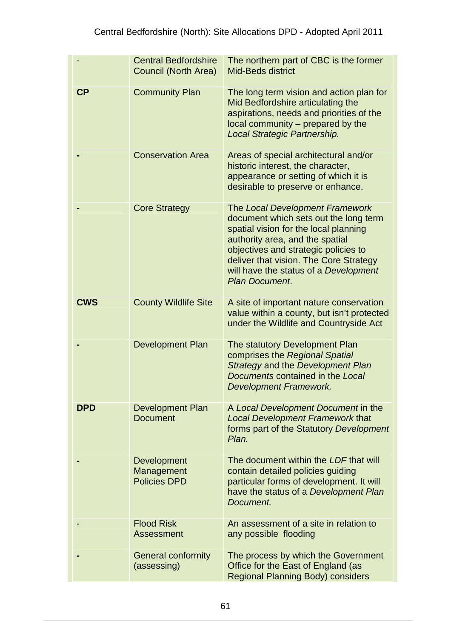|            | <b>Central Bedfordshire</b><br><b>Council (North Area)</b> | The northern part of CBC is the former<br><b>Mid-Beds district</b>                                                                                                                                                                                                                                       |
|------------|------------------------------------------------------------|----------------------------------------------------------------------------------------------------------------------------------------------------------------------------------------------------------------------------------------------------------------------------------------------------------|
| <b>CP</b>  | <b>Community Plan</b>                                      | The long term vision and action plan for<br>Mid Bedfordshire articulating the<br>aspirations, needs and priorities of the<br>local community – prepared by the<br>Local Strategic Partnership.                                                                                                           |
|            | <b>Conservation Area</b>                                   | Areas of special architectural and/or<br>historic interest, the character,<br>appearance or setting of which it is<br>desirable to preserve or enhance.                                                                                                                                                  |
|            | <b>Core Strategy</b>                                       | The Local Development Framework<br>document which sets out the long term<br>spatial vision for the local planning<br>authority area, and the spatial<br>objectives and strategic policies to<br>deliver that vision. The Core Strategy<br>will have the status of a Development<br><b>Plan Document.</b> |
| <b>CWS</b> | <b>County Wildlife Site</b>                                | A site of important nature conservation<br>value within a county, but isn't protected<br>under the Wildlife and Countryside Act                                                                                                                                                                          |
|            | <b>Development Plan</b>                                    | The statutory Development Plan<br>comprises the Regional Spatial<br>Strategy and the Development Plan<br>Documents contained in the Local<br><b>Development Framework.</b>                                                                                                                               |
| <b>DPD</b> | <b>Development Plan</b><br><b>Document</b>                 | A Local Development Document in the<br><b>Local Development Framework that</b><br>forms part of the Statutory Development<br>Plan.                                                                                                                                                                       |
|            | Development<br>Management<br><b>Policies DPD</b>           | The document within the LDF that will<br>contain detailed policies guiding<br>particular forms of development. It will<br>have the status of a Development Plan<br>Document.                                                                                                                             |
|            | <b>Flood Risk</b><br>Assessment                            | An assessment of a site in relation to<br>any possible flooding                                                                                                                                                                                                                                          |
|            | <b>General conformity</b><br>(assessing)                   | The process by which the Government<br>Office for the East of England (as<br><b>Regional Planning Body) considers</b>                                                                                                                                                                                    |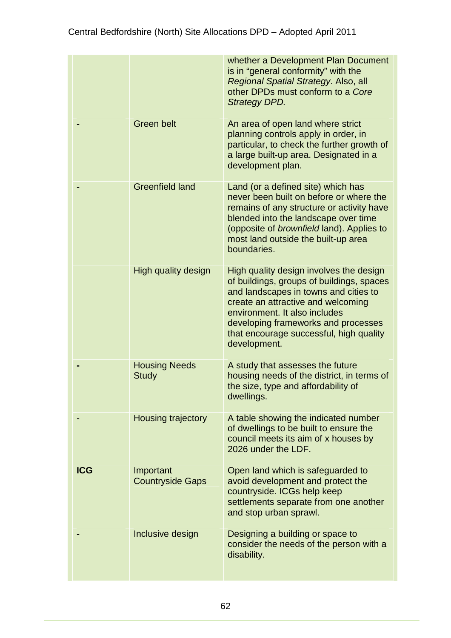|            |                                      | whether a Development Plan Document<br>is in "general conformity" with the<br>Regional Spatial Strategy. Also, all<br>other DPDs must conform to a Core<br><b>Strategy DPD.</b>                                                                                                                        |
|------------|--------------------------------------|--------------------------------------------------------------------------------------------------------------------------------------------------------------------------------------------------------------------------------------------------------------------------------------------------------|
|            | <b>Green belt</b>                    | An area of open land where strict<br>planning controls apply in order, in<br>particular, to check the further growth of<br>a large built-up area. Designated in a<br>development plan.                                                                                                                 |
|            | <b>Greenfield land</b>               | Land (or a defined site) which has<br>never been built on before or where the<br>remains of any structure or activity have<br>blended into the landscape over time<br>(opposite of <i>brownfield</i> land). Applies to<br>most land outside the built-up area<br>boundaries.                           |
|            | High quality design                  | High quality design involves the design<br>of buildings, groups of buildings, spaces<br>and landscapes in towns and cities to<br>create an attractive and welcoming<br>environment. It also includes<br>developing frameworks and processes<br>that encourage successful, high quality<br>development. |
|            | <b>Housing Needs</b><br><b>Study</b> | A study that assesses the future<br>housing needs of the district, in terms of<br>the size, type and affordability of<br>dwellings.                                                                                                                                                                    |
|            | <b>Housing trajectory</b>            | A table showing the indicated number<br>of dwellings to be built to ensure the<br>council meets its aim of x houses by<br>2026 under the LDF.                                                                                                                                                          |
| <b>ICG</b> | Important<br><b>Countryside Gaps</b> | Open land which is safeguarded to<br>avoid development and protect the<br>countryside. ICGs help keep<br>settlements separate from one another<br>and stop urban sprawl.                                                                                                                               |
|            | Inclusive design                     | Designing a building or space to<br>consider the needs of the person with a<br>disability.                                                                                                                                                                                                             |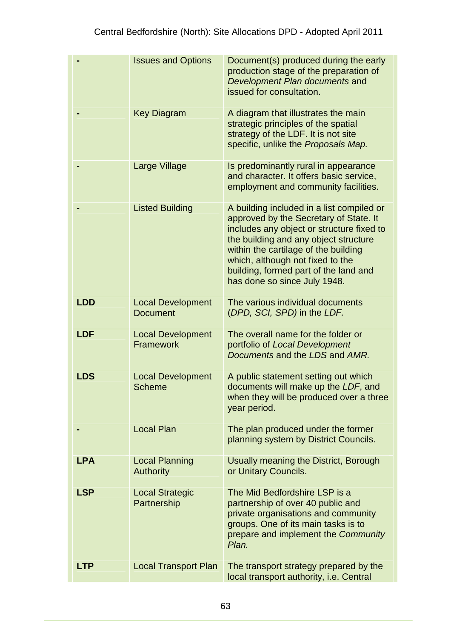|            | <b>Issues and Options</b>                   | Document(s) produced during the early<br>production stage of the preparation of<br>Development Plan documents and<br>issued for consultation.                                                                                                                                                                                  |
|------------|---------------------------------------------|--------------------------------------------------------------------------------------------------------------------------------------------------------------------------------------------------------------------------------------------------------------------------------------------------------------------------------|
|            | <b>Key Diagram</b>                          | A diagram that illustrates the main<br>strategic principles of the spatial<br>strategy of the LDF. It is not site<br>specific, unlike the Proposals Map.                                                                                                                                                                       |
|            | Large Village                               | Is predominantly rural in appearance<br>and character. It offers basic service,<br>employment and community facilities.                                                                                                                                                                                                        |
|            | <b>Listed Building</b>                      | A building included in a list compiled or<br>approved by the Secretary of State. It<br>includes any object or structure fixed to<br>the building and any object structure<br>within the cartilage of the building<br>which, although not fixed to the<br>building, formed part of the land and<br>has done so since July 1948. |
| <b>LDD</b> | <b>Local Development</b><br><b>Document</b> | The various individual documents<br>(DPD, SCI, SPD) in the LDF.                                                                                                                                                                                                                                                                |
| <b>LDF</b> | <b>Local Development</b><br>Framework       | The overall name for the folder or<br>portfolio of Local Development<br>Documents and the LDS and AMR.                                                                                                                                                                                                                         |
| <b>LDS</b> | <b>Local Development</b><br><b>Scheme</b>   | A public statement setting out which<br>documents will make up the LDF, and<br>when they will be produced over a three<br>year period.                                                                                                                                                                                         |
|            | <b>Local Plan</b>                           | The plan produced under the former<br>planning system by District Councils.                                                                                                                                                                                                                                                    |
| <b>LPA</b> | <b>Local Planning</b><br><b>Authority</b>   | Usually meaning the District, Borough<br>or Unitary Councils.                                                                                                                                                                                                                                                                  |
| <b>LSP</b> | <b>Local Strategic</b><br>Partnership       | The Mid Bedfordshire LSP is a<br>partnership of over 40 public and<br>private organisations and community<br>groups. One of its main tasks is to<br>prepare and implement the Community<br>Plan.                                                                                                                               |
| <b>LTP</b> | <b>Local Transport Plan</b>                 | The transport strategy prepared by the<br>local transport authority, i.e. Central                                                                                                                                                                                                                                              |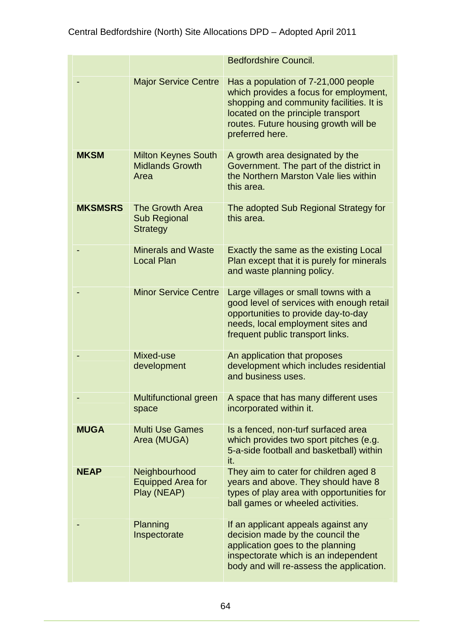|                |                                                              | <b>Bedfordshire Council.</b>                                                                                                                                                                                                |
|----------------|--------------------------------------------------------------|-----------------------------------------------------------------------------------------------------------------------------------------------------------------------------------------------------------------------------|
|                | <b>Major Service Centre</b>                                  | Has a population of 7-21,000 people<br>which provides a focus for employment,<br>shopping and community facilities. It is<br>located on the principle transport<br>routes. Future housing growth will be<br>preferred here. |
| <b>MKSM</b>    | <b>Milton Keynes South</b><br><b>Midlands Growth</b><br>Area | A growth area designated by the<br>Government. The part of the district in<br>the Northern Marston Vale lies within<br>this area.                                                                                           |
| <b>MKSMSRS</b> | The Growth Area<br><b>Sub Regional</b><br><b>Strategy</b>    | The adopted Sub Regional Strategy for<br>this area.                                                                                                                                                                         |
|                | <b>Minerals and Waste</b><br><b>Local Plan</b>               | Exactly the same as the existing Local<br>Plan except that it is purely for minerals<br>and waste planning policy.                                                                                                          |
|                | <b>Minor Service Centre</b>                                  | Large villages or small towns with a<br>good level of services with enough retail<br>opportunities to provide day-to-day<br>needs, local employment sites and<br>frequent public transport links.                           |
|                | Mixed-use<br>development                                     | An application that proposes<br>development which includes residential<br>and business uses.                                                                                                                                |
|                | <b>Multifunctional green</b><br>space                        | A space that has many different uses<br>incorporated within it.                                                                                                                                                             |
| <b>MUGA</b>    | <b>Multi Use Games</b><br>Area (MUGA)                        | Is a fenced, non-turf surfaced area<br>which provides two sport pitches (e.g.<br>5-a-side football and basketball) within<br>it.                                                                                            |
| <b>NEAP</b>    | Neighbourhood<br><b>Equipped Area for</b><br>Play (NEAP)     | They aim to cater for children aged 8<br>years and above. They should have 8<br>types of play area with opportunities for<br>ball games or wheeled activities.                                                              |
|                | Planning<br>Inspectorate                                     | If an applicant appeals against any<br>decision made by the council the<br>application goes to the planning<br>inspectorate which is an independent<br>body and will re-assess the application.                             |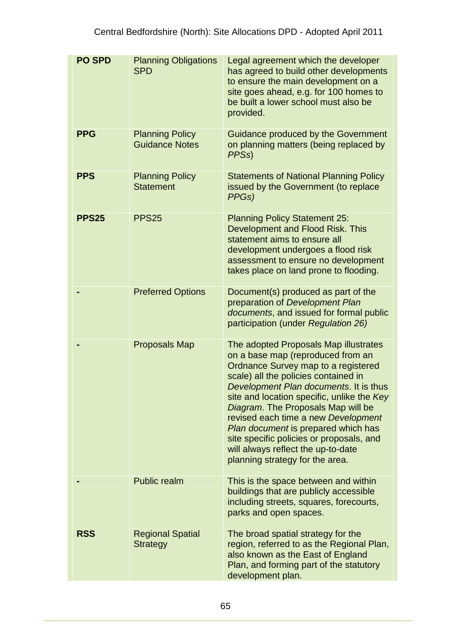| <b>PO SPD</b> | <b>Planning Obligations</b><br><b>SPD</b>       | Legal agreement which the developer<br>has agreed to build other developments<br>to ensure the main development on a<br>site goes ahead, e.g. for 100 homes to<br>be built a lower school must also be<br>provided.                                                                                                                                                                                                                                                                        |
|---------------|-------------------------------------------------|--------------------------------------------------------------------------------------------------------------------------------------------------------------------------------------------------------------------------------------------------------------------------------------------------------------------------------------------------------------------------------------------------------------------------------------------------------------------------------------------|
| <b>PPG</b>    | <b>Planning Policy</b><br><b>Guidance Notes</b> | Guidance produced by the Government<br>on planning matters (being replaced by<br>PPS <sub>s</sub> )                                                                                                                                                                                                                                                                                                                                                                                        |
| <b>PPS</b>    | <b>Planning Policy</b><br><b>Statement</b>      | <b>Statements of National Planning Policy</b><br>issued by the Government (to replace<br>PPGs)                                                                                                                                                                                                                                                                                                                                                                                             |
| <b>PPS25</b>  | <b>PPS25</b>                                    | <b>Planning Policy Statement 25:</b><br>Development and Flood Risk. This<br>statement aims to ensure all<br>development undergoes a flood risk<br>assessment to ensure no development<br>takes place on land prone to flooding.                                                                                                                                                                                                                                                            |
|               | <b>Preferred Options</b>                        | Document(s) produced as part of the<br>preparation of Development Plan<br>documents, and issued for formal public<br>participation (under Regulation 26)                                                                                                                                                                                                                                                                                                                                   |
|               | <b>Proposals Map</b>                            | The adopted Proposals Map illustrates<br>on a base map (reproduced from an<br>Ordnance Survey map to a registered<br>scale) all the policies contained in<br>Development Plan documents. It is thus<br>site and location specific, unlike the Key<br>Diagram. The Proposals Map will be<br>revised each time a new Development<br>Plan document is prepared which has<br>site specific policies or proposals, and<br>will always reflect the up-to-date<br>planning strategy for the area. |
|               | <b>Public realm</b>                             | This is the space between and within<br>buildings that are publicly accessible<br>including streets, squares, forecourts,<br>parks and open spaces.                                                                                                                                                                                                                                                                                                                                        |
| <b>RSS</b>    | <b>Regional Spatial</b><br><b>Strategy</b>      | The broad spatial strategy for the<br>region, referred to as the Regional Plan,<br>also known as the East of England<br>Plan, and forming part of the statutory<br>development plan.                                                                                                                                                                                                                                                                                                       |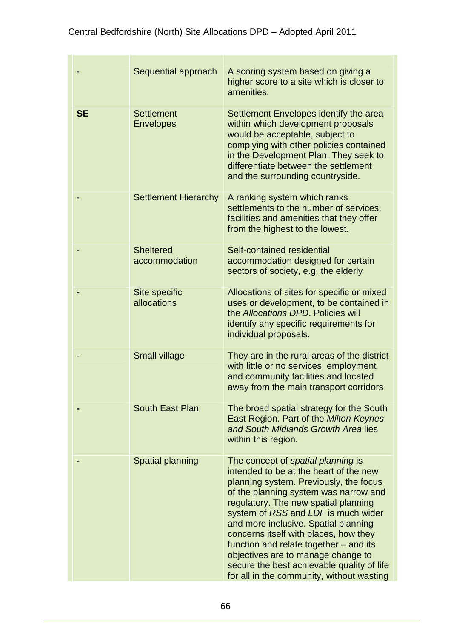|           | Sequential approach                   | A scoring system based on giving a<br>higher score to a site which is closer to<br>amenities.                                                                                                                                                                                                                                                                                                                                                                                                              |
|-----------|---------------------------------------|------------------------------------------------------------------------------------------------------------------------------------------------------------------------------------------------------------------------------------------------------------------------------------------------------------------------------------------------------------------------------------------------------------------------------------------------------------------------------------------------------------|
| <b>SE</b> | <b>Settlement</b><br><b>Envelopes</b> | Settlement Envelopes identify the area<br>within which development proposals<br>would be acceptable, subject to<br>complying with other policies contained<br>in the Development Plan. They seek to<br>differentiate between the settlement<br>and the surrounding countryside.                                                                                                                                                                                                                            |
|           | <b>Settlement Hierarchy</b>           | A ranking system which ranks<br>settlements to the number of services,<br>facilities and amenities that they offer<br>from the highest to the lowest.                                                                                                                                                                                                                                                                                                                                                      |
|           | <b>Sheltered</b><br>accommodation     | Self-contained residential<br>accommodation designed for certain<br>sectors of society, e.g. the elderly                                                                                                                                                                                                                                                                                                                                                                                                   |
|           | Site specific<br>allocations          | Allocations of sites for specific or mixed<br>uses or development, to be contained in<br>the Allocations DPD. Policies will<br>identify any specific requirements for<br>individual proposals.                                                                                                                                                                                                                                                                                                             |
|           | <b>Small village</b>                  | They are in the rural areas of the district<br>with little or no services, employment<br>and community facilities and located<br>away from the main transport corridors                                                                                                                                                                                                                                                                                                                                    |
|           | <b>South East Plan</b>                | The broad spatial strategy for the South<br>East Region. Part of the Milton Keynes<br>and South Midlands Growth Area lies<br>within this region.                                                                                                                                                                                                                                                                                                                                                           |
|           | Spatial planning                      | The concept of spatial planning is<br>intended to be at the heart of the new<br>planning system. Previously, the focus<br>of the planning system was narrow and<br>regulatory. The new spatial planning<br>system of RSS and LDF is much wider<br>and more inclusive. Spatial planning<br>concerns itself with places, how they<br>function and relate together – and its<br>objectives are to manage change to<br>secure the best achievable quality of life<br>for all in the community, without wasting |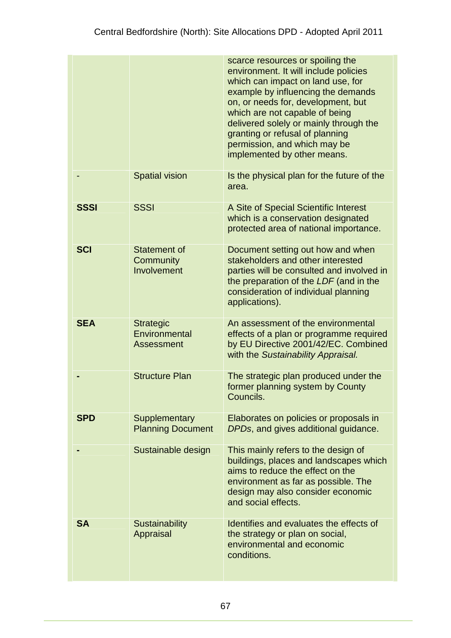|             |                                                        | scarce resources or spoiling the<br>environment. It will include policies<br>which can impact on land use, for<br>example by influencing the demands<br>on, or needs for, development, but<br>which are not capable of being<br>delivered solely or mainly through the<br>granting or refusal of planning<br>permission, and which may be<br>implemented by other means. |
|-------------|--------------------------------------------------------|--------------------------------------------------------------------------------------------------------------------------------------------------------------------------------------------------------------------------------------------------------------------------------------------------------------------------------------------------------------------------|
|             | <b>Spatial vision</b>                                  | Is the physical plan for the future of the<br>area.                                                                                                                                                                                                                                                                                                                      |
| <b>SSSI</b> | <b>SSSI</b>                                            | A Site of Special Scientific Interest<br>which is a conservation designated<br>protected area of national importance.                                                                                                                                                                                                                                                    |
| <b>SCI</b>  | Statement of<br>Community<br>Involvement               | Document setting out how and when<br>stakeholders and other interested<br>parties will be consulted and involved in<br>the preparation of the LDF (and in the<br>consideration of individual planning<br>applications).                                                                                                                                                  |
| <b>SEA</b>  | <b>Strategic</b><br>Environmental<br><b>Assessment</b> | An assessment of the environmental<br>effects of a plan or programme required<br>by EU Directive 2001/42/EC. Combined<br>with the Sustainability Appraisal.                                                                                                                                                                                                              |
|             | <b>Structure Plan</b>                                  | The strategic plan produced under the<br>former planning system by County<br>Councils.                                                                                                                                                                                                                                                                                   |
| <b>SPD</b>  | Supplementary<br><b>Planning Document</b>              | Elaborates on policies or proposals in<br>DPDs, and gives additional guidance.                                                                                                                                                                                                                                                                                           |
|             | Sustainable design                                     | This mainly refers to the design of<br>buildings, places and landscapes which<br>aims to reduce the effect on the<br>environment as far as possible. The<br>design may also consider economic<br>and social effects.                                                                                                                                                     |
| <b>SA</b>   | <b>Sustainability</b><br>Appraisal                     | Identifies and evaluates the effects of<br>the strategy or plan on social,<br>environmental and economic<br>conditions.                                                                                                                                                                                                                                                  |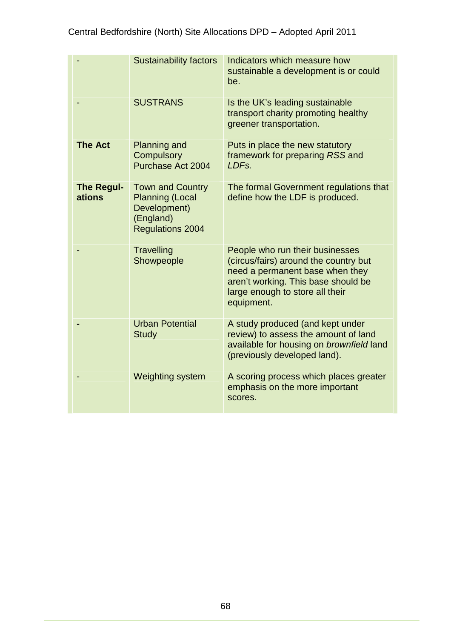|                             | <b>Sustainability factors</b>                                                                             | Indicators which measure how<br>sustainable a development is or could<br>be.                                                                                                                        |
|-----------------------------|-----------------------------------------------------------------------------------------------------------|-----------------------------------------------------------------------------------------------------------------------------------------------------------------------------------------------------|
|                             | <b>SUSTRANS</b>                                                                                           | Is the UK's leading sustainable<br>transport charity promoting healthy<br>greener transportation.                                                                                                   |
| <b>The Act</b>              | <b>Planning and</b><br><b>Compulsory</b><br>Purchase Act 2004                                             | Puts in place the new statutory<br>framework for preparing RSS and<br>LDFs.                                                                                                                         |
| <b>The Regul-</b><br>ations | <b>Town and Country</b><br><b>Planning (Local</b><br>Development)<br>(England)<br><b>Regulations 2004</b> | The formal Government regulations that<br>define how the LDF is produced.                                                                                                                           |
|                             | Travelling<br>Showpeople                                                                                  | People who run their businesses<br>(circus/fairs) around the country but<br>need a permanent base when they<br>aren't working. This base should be<br>large enough to store all their<br>equipment. |
|                             | <b>Urban Potential</b><br><b>Study</b>                                                                    | A study produced (and kept under<br>review) to assess the amount of land<br>available for housing on brownfield land<br>(previously developed land).                                                |
|                             | Weighting system                                                                                          | A scoring process which places greater<br>emphasis on the more important<br>scores.                                                                                                                 |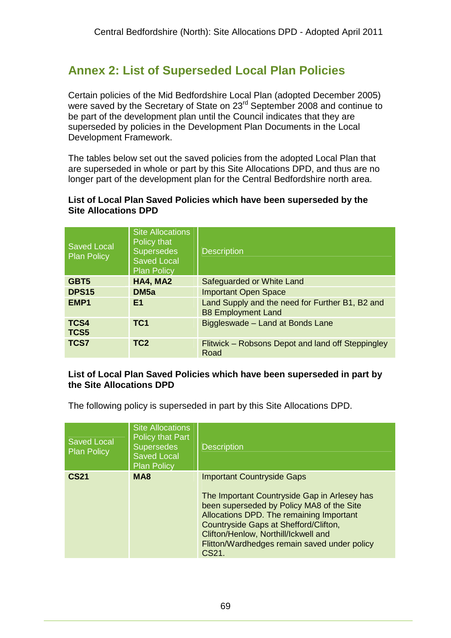# **Annex 2: List of Superseded Local Plan Policies**

Certain policies of the Mid Bedfordshire Local Plan (adopted December 2005) were saved by the Secretary of State on 23<sup>rd</sup> September 2008 and continue to be part of the development plan until the Council indicates that they are superseded by policies in the Development Plan Documents in the Local Development Framework.

The tables below set out the saved policies from the adopted Local Plan that are superseded in whole or part by this Site Allocations DPD, and thus are no longer part of the development plan for the Central Bedfordshire north area.

### **List of Local Plan Saved Policies which have been superseded by the Site Allocations DPD**

| <b>Saved Local</b><br><b>Plan Policy</b> | <b>Site Allocations</b><br>Policy that<br><b>Supersedes</b><br><b>Saved Local</b><br><b>Plan Policy</b> | <b>Description</b>                                                           |
|------------------------------------------|---------------------------------------------------------------------------------------------------------|------------------------------------------------------------------------------|
| GBT <sub>5</sub>                         | HA4, MA2                                                                                                | Safeguarded or White Land                                                    |
| <b>DPS15</b>                             | DM <sub>5a</sub>                                                                                        | <b>Important Open Space</b>                                                  |
| EMP <sub>1</sub>                         | E1                                                                                                      | Land Supply and the need for Further B1, B2 and<br><b>B8 Employment Land</b> |
| TCS4<br>TCS5                             | TC <sub>1</sub>                                                                                         | Biggleswade - Land at Bonds Lane                                             |
| <b>TCS7</b>                              | TC <sub>2</sub>                                                                                         | Flitwick – Robsons Depot and land off Steppingley<br>Road                    |

### **List of Local Plan Saved Policies which have been superseded in part by the Site Allocations DPD**

The following policy is superseded in part by this Site Allocations DPD.

| <b>Saved Local</b><br><b>Plan Policy</b> | <b>Site Allocations</b><br><b>Policy that Part</b><br><b>Supersedes</b><br><b>Saved Local</b><br><b>Plan Policy</b> | <b>Description</b>                                                                                                                                                                                                                                                                                                   |
|------------------------------------------|---------------------------------------------------------------------------------------------------------------------|----------------------------------------------------------------------------------------------------------------------------------------------------------------------------------------------------------------------------------------------------------------------------------------------------------------------|
| <b>CS21</b>                              | MA <sub>8</sub>                                                                                                     | <b>Important Countryside Gaps</b><br>The Important Countryside Gap in Arlesey has<br>been superseded by Policy MA8 of the Site<br>Allocations DPD. The remaining Important<br>Countryside Gaps at Shefford/Clifton,<br>Clifton/Henlow, Northill/Ickwell and<br>Flitton/Wardhedges remain saved under policy<br>CS21. |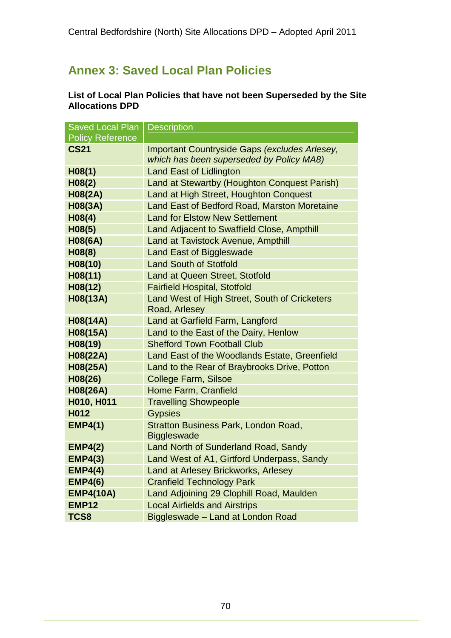# **Annex 3: Saved Local Plan Policies**

### **List of Local Plan Policies that have not been Superseded by the Site Allocations DPD**

| <b>Saved Local Plan</b> | <b>Description</b>                            |  |
|-------------------------|-----------------------------------------------|--|
| <b>Policy Reference</b> |                                               |  |
| <b>CS21</b>             | Important Countryside Gaps (excludes Arlesey, |  |
|                         | which has been superseded by Policy MA8)      |  |
| H <sub>08(1)</sub>      | <b>Land East of Lidlington</b>                |  |
| H <sub>08(2)</sub>      | Land at Stewartby (Houghton Conquest Parish)  |  |
| <b>H08(2A)</b>          | Land at High Street, Houghton Conquest        |  |
| H08(3A)                 | Land East of Bedford Road, Marston Moretaine  |  |
| H08(4)                  | <b>Land for Elstow New Settlement</b>         |  |
| H08(5)                  | Land Adjacent to Swaffield Close, Ampthill    |  |
| <b>H08(6A)</b>          | <b>Land at Tavistock Avenue, Ampthill</b>     |  |
| H08(8)                  | <b>Land East of Biggleswade</b>               |  |
| H08(10)                 | <b>Land South of Stotfold</b>                 |  |
| H08(11)                 | <b>Land at Queen Street, Stotfold</b>         |  |
| H08(12)                 | <b>Fairfield Hospital, Stotfold</b>           |  |
| H08(13A)                | Land West of High Street, South of Cricketers |  |
|                         | Road, Arlesey                                 |  |
| H08(14A)                | Land at Garfield Farm, Langford               |  |
| H08(15A)                | Land to the East of the Dairy, Henlow         |  |
| H08(19)                 | <b>Shefford Town Football Club</b>            |  |
| H08(22A)                | Land East of the Woodlands Estate, Greenfield |  |
| H08(25A)                | Land to the Rear of Braybrooks Drive, Potton  |  |
| H08(26)                 | <b>College Farm, Silsoe</b>                   |  |
| H08(26A)                | Home Farm, Cranfield                          |  |
| H010, H011              | <b>Travelling Showpeople</b>                  |  |
| H012                    | <b>Gypsies</b>                                |  |
| <b>EMP4(1)</b>          | Stratton Business Park, London Road,          |  |
|                         | <b>Biggleswade</b>                            |  |
| <b>EMP4(2)</b>          | Land North of Sunderland Road, Sandy          |  |
| <b>EMP4(3)</b>          | Land West of A1, Girtford Underpass, Sandy    |  |
| <b>EMP4(4)</b>          | Land at Arlesey Brickworks, Arlesey           |  |
| <b>EMP4(6)</b>          | <b>Cranfield Technology Park</b>              |  |
| <b>EMP4(10A)</b>        | Land Adjoining 29 Clophill Road, Maulden      |  |
| <b>EMP12</b>            | <b>Local Airfields and Airstrips</b>          |  |
| TCS8                    | Biggleswade - Land at London Road             |  |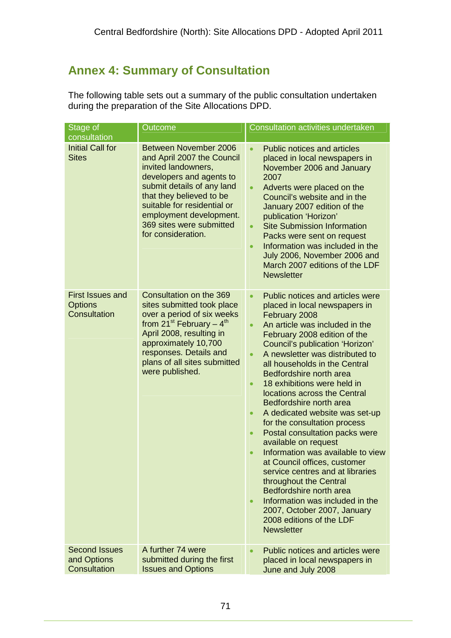# **Annex 4: Summary of Consultation**

The following table sets out a summary of the public consultation undertaken during the preparation of the Site Allocations DPD.

| Stage of<br>consultation                                  | Outcome                                                                                                                                                                                                                                                                      | <b>Consultation activities undertaken</b>                                                                                                                                                                                                                                                                                                                                                                                                                                                                                                                                                                                                                                                                                                                                                                                            |
|-----------------------------------------------------------|------------------------------------------------------------------------------------------------------------------------------------------------------------------------------------------------------------------------------------------------------------------------------|--------------------------------------------------------------------------------------------------------------------------------------------------------------------------------------------------------------------------------------------------------------------------------------------------------------------------------------------------------------------------------------------------------------------------------------------------------------------------------------------------------------------------------------------------------------------------------------------------------------------------------------------------------------------------------------------------------------------------------------------------------------------------------------------------------------------------------------|
| <b>Initial Call for</b><br><b>Sites</b>                   | Between November 2006<br>and April 2007 the Council<br>invited landowners,<br>developers and agents to<br>submit details of any land<br>that they believed to be<br>suitable for residential or<br>employment development.<br>369 sites were submitted<br>for consideration. | <b>Public notices and articles</b><br>placed in local newspapers in<br>November 2006 and January<br>2007<br>Adverts were placed on the<br>$\bullet$<br>Council's website and in the<br>January 2007 edition of the<br>publication 'Horizon'<br><b>Site Submission Information</b><br>$\bullet$<br>Packs were sent on request<br>Information was included in the<br>$\bullet$<br>July 2006, November 2006 and<br>March 2007 editions of the LDF<br><b>Newsletter</b>                                                                                                                                                                                                                                                                                                                                                                  |
| <b>First Issues and</b><br><b>Options</b><br>Consultation | Consultation on the 369<br>sites submitted took place<br>over a period of six weeks<br>from $21^{st}$ February – $4^{th}$<br>April 2008, resulting in<br>approximately 10,700<br>responses. Details and<br>plans of all sites submitted<br>were published.                   | Public notices and articles were<br>placed in local newspapers in<br>February 2008<br>An article was included in the<br>February 2008 edition of the<br>Council's publication 'Horizon'<br>A newsletter was distributed to<br>all households in the Central<br>Bedfordshire north area<br>18 exhibitions were held in<br>$\bullet$<br>locations across the Central<br>Bedfordshire north area<br>A dedicated website was set-up<br>$\bullet$<br>for the consultation process<br>Postal consultation packs were<br>available on request<br>Information was available to view<br>at Council offices, customer<br>service centres and at libraries<br>throughout the Central<br>Bedfordshire north area<br>Information was included in the<br>$\bullet$<br>2007, October 2007, January<br>2008 editions of the LDF<br><b>Newsletter</b> |
| <b>Second Issues</b><br>and Options<br>Consultation       | A further 74 were<br>submitted during the first<br><b>Issues and Options</b>                                                                                                                                                                                                 | Public notices and articles were<br>placed in local newspapers in<br>June and July 2008                                                                                                                                                                                                                                                                                                                                                                                                                                                                                                                                                                                                                                                                                                                                              |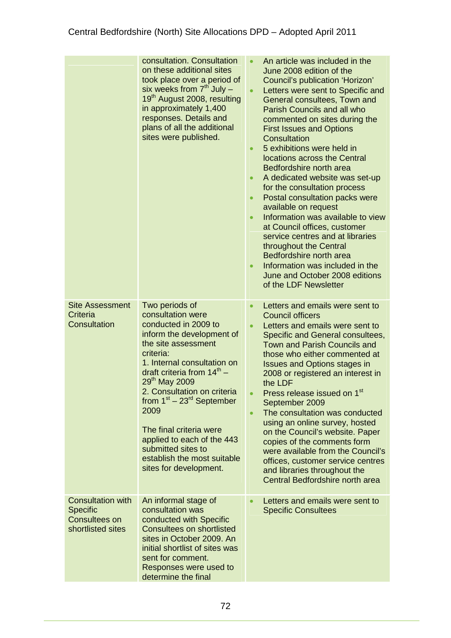|                                                                                          | consultation. Consultation<br>on these additional sites<br>took place over a period of<br>six weeks from $7th$ July $-$<br>19 <sup>th</sup> August 2008, resulting<br>in approximately 1,400<br>responses. Details and<br>plans of all the additional<br>sites were published.                                                                                                                                                                   | An article was included in the<br>June 2008 edition of the<br>Council's publication 'Horizon'<br>Letters were sent to Specific and<br>$\bullet$<br>General consultees, Town and<br><b>Parish Councils and all who</b><br>commented on sites during the<br><b>First Issues and Options</b><br>Consultation<br>5 exhibitions were held in<br>$\bullet$<br>locations across the Central<br>Bedfordshire north area<br>A dedicated website was set-up<br>for the consultation process<br>Postal consultation packs were<br>available on request<br>Information was available to view<br>at Council offices, customer<br>service centres and at libraries<br>throughout the Central<br>Bedfordshire north area<br>Information was included in the<br>June and October 2008 editions<br>of the LDF Newsletter |
|------------------------------------------------------------------------------------------|--------------------------------------------------------------------------------------------------------------------------------------------------------------------------------------------------------------------------------------------------------------------------------------------------------------------------------------------------------------------------------------------------------------------------------------------------|---------------------------------------------------------------------------------------------------------------------------------------------------------------------------------------------------------------------------------------------------------------------------------------------------------------------------------------------------------------------------------------------------------------------------------------------------------------------------------------------------------------------------------------------------------------------------------------------------------------------------------------------------------------------------------------------------------------------------------------------------------------------------------------------------------|
| <b>Site Assessment</b><br>Criteria<br><b>Consultation</b>                                | Two periods of<br>consultation were<br>conducted in 2009 to<br>inform the development of<br>the site assessment<br>criteria:<br>1. Internal consultation on<br>draft criteria from $14^{\text{th}}$ -<br>29 <sup>th</sup> May 2009<br>2. Consultation on criteria<br>from $1st - 23rd$ September<br>2009<br>The final criteria were<br>applied to each of the 443<br>submitted sites to<br>establish the most suitable<br>sites for development. | Letters and emails were sent to<br><b>Council officers</b><br>Letters and emails were sent to<br>$\bullet$<br>Specific and General consultees,<br><b>Town and Parish Councils and</b><br>those who either commented at<br><b>Issues and Options stages in</b><br>2008 or registered an interest in<br>the LDF<br>Press release issued on 1 <sup>st</sup><br>September 2009<br>The consultation was conducted<br>$\bullet$<br>using an online survey, hosted<br>on the Council's website. Paper<br>copies of the comments form<br>were available from the Council's<br>offices, customer service centres<br>and libraries throughout the<br>Central Bedfordshire north area                                                                                                                              |
| <b>Consultation with</b><br><b>Specific</b><br><b>Consultees on</b><br>shortlisted sites | An informal stage of<br>consultation was<br>conducted with Specific<br><b>Consultees on shortlisted</b><br>sites in October 2009. An<br>initial shortlist of sites was<br>sent for comment.<br>Responses were used to<br>determine the final                                                                                                                                                                                                     | Letters and emails were sent to<br><b>Specific Consultees</b>                                                                                                                                                                                                                                                                                                                                                                                                                                                                                                                                                                                                                                                                                                                                           |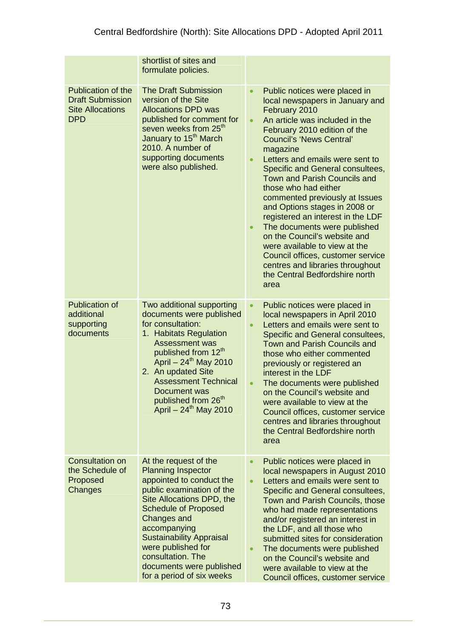|                                                                                               | shortlist of sites and<br>formulate policies.                                                                                                                                                                                                                                                                                                        |                                                                                                                                                                                                                                                                                                                                                                                                                                                                                                                                                                                                                                                                                                             |
|-----------------------------------------------------------------------------------------------|------------------------------------------------------------------------------------------------------------------------------------------------------------------------------------------------------------------------------------------------------------------------------------------------------------------------------------------------------|-------------------------------------------------------------------------------------------------------------------------------------------------------------------------------------------------------------------------------------------------------------------------------------------------------------------------------------------------------------------------------------------------------------------------------------------------------------------------------------------------------------------------------------------------------------------------------------------------------------------------------------------------------------------------------------------------------------|
| <b>Publication of the</b><br><b>Draft Submission</b><br><b>Site Allocations</b><br><b>DPD</b> | <b>The Draft Submission</b><br>version of the Site<br><b>Allocations DPD was</b><br>published for comment for<br>seven weeks from 25 <sup>th</sup><br>January to 15 <sup>th</sup> March<br>2010. A number of<br>supporting documents<br>were also published.                                                                                         | Public notices were placed in<br>$\bullet$<br>local newspapers in January and<br>February 2010<br>An article was included in the<br>$\bullet$<br>February 2010 edition of the<br><b>Council's 'News Central'</b><br>magazine<br>Letters and emails were sent to<br>Specific and General consultees,<br><b>Town and Parish Councils and</b><br>those who had either<br>commented previously at Issues<br>and Options stages in 2008 or<br>registered an interest in the LDF<br>The documents were published<br>$\bullet$<br>on the Council's website and<br>were available to view at the<br>Council offices, customer service<br>centres and libraries throughout<br>the Central Bedfordshire north<br>area |
| <b>Publication of</b><br>additional<br>supporting<br>documents                                | Two additional supporting<br>documents were published<br>for consultation:<br>1. Habitats Regulation<br><b>Assessment was</b><br>published from 12 <sup>th</sup><br>April - 24 <sup>th</sup> May 2010<br>2. An updated Site<br><b>Assessment Technical</b><br>Document was<br>published from 26 <sup>th</sup><br>April – $24^{th}$ May 2010          | Public notices were placed in<br>$\bullet$<br>local newspapers in April 2010<br>Letters and emails were sent to<br>$\bullet$<br>Specific and General consultees,<br><b>Town and Parish Councils and</b><br>those who either commented<br>previously or registered an<br>interest in the LDF<br>The documents were published<br>on the Council's website and<br>were available to view at the<br>Council offices, customer service<br>centres and libraries throughout<br>the Central Bedfordshire north<br>area                                                                                                                                                                                             |
| <b>Consultation on</b><br>the Schedule of<br>Proposed<br>Changes                              | At the request of the<br><b>Planning Inspector</b><br>appointed to conduct the<br>public examination of the<br>Site Allocations DPD, the<br><b>Schedule of Proposed</b><br><b>Changes and</b><br>accompanying<br><b>Sustainability Appraisal</b><br>were published for<br>consultation. The<br>documents were published<br>for a period of six weeks | Public notices were placed in<br>$\bullet$<br>local newspapers in August 2010<br>Letters and emails were sent to<br>$\bullet$<br>Specific and General consultees,<br>Town and Parish Councils, those<br>who had made representations<br>and/or registered an interest in<br>the LDF, and all those who<br>submitted sites for consideration<br>The documents were published<br>on the Council's website and<br>were available to view at the<br>Council offices, customer service                                                                                                                                                                                                                           |